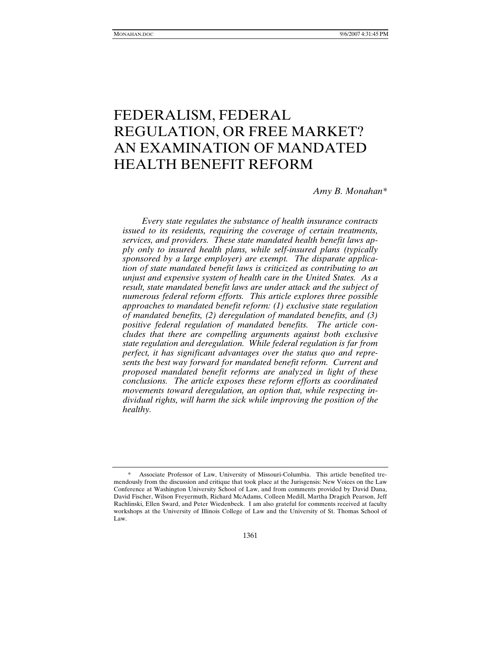# FEDERALISM, FEDERAL REGULATION, OR FREE MARKET? AN EXAMINATION OF MANDATED HEALTH BENEFIT REFORM

*Amy B. Monahan\** 

*Every state regulates the substance of health insurance contracts issued to its residents, requiring the coverage of certain treatments, services, and providers. These state mandated health benefit laws apply only to insured health plans, while self-insured plans (typically sponsored by a large employer) are exempt. The disparate application of state mandated benefit laws is criticized as contributing to an unjust and expensive system of health care in the United States. As a result, state mandated benefit laws are under attack and the subject of numerous federal reform efforts. This article explores three possible approaches to mandated benefit reform: (1) exclusive state regulation of mandated benefits, (2) deregulation of mandated benefits, and (3) positive federal regulation of mandated benefits. The article concludes that there are compelling arguments against both exclusive state regulation and deregulation. While federal regulation is far from perfect, it has significant advantages over the status quo and represents the best way forward for mandated benefit reform. Current and proposed mandated benefit reforms are analyzed in light of these conclusions. The article exposes these reform efforts as coordinated movements toward deregulation, an option that, while respecting individual rights, will harm the sick while improving the position of the healthy.* 

 <sup>\*</sup> Associate Professor of Law, University of Missouri-Columbia. This article benefited tremendously from the discussion and critique that took place at the Jurisgensis: New Voices on the Law Conference at Washington University School of Law, and from comments provided by David Dana, David Fischer, Wilson Freyermuth, Richard McAdams, Colleen Medill, Martha Dragich Pearson, Jeff Rachlinski, Ellen Sward, and Peter Wiedenbeck. I am also grateful for comments received at faculty workshops at the University of Illinois College of Law and the University of St. Thomas School of Law.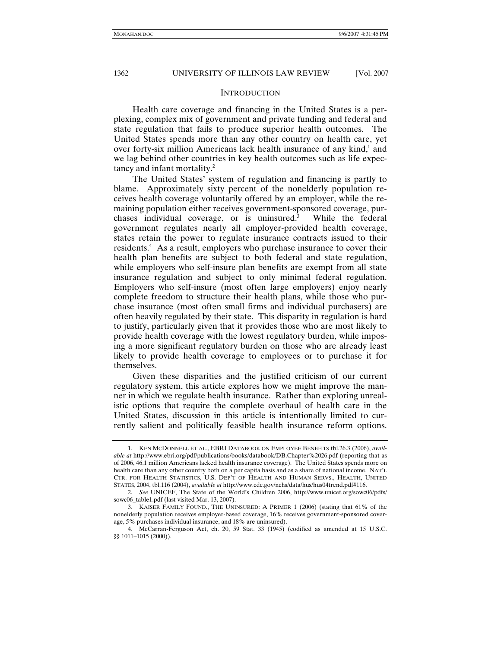### **INTRODUCTION**

Health care coverage and financing in the United States is a perplexing, complex mix of government and private funding and federal and state regulation that fails to produce superior health outcomes. The United States spends more than any other country on health care, yet over forty-six million Americans lack health insurance of any kind,<sup>1</sup> and we lag behind other countries in key health outcomes such as life expectancy and infant mortality.2

The United States' system of regulation and financing is partly to blame. Approximately sixty percent of the nonelderly population receives health coverage voluntarily offered by an employer, while the remaining population either receives government-sponsored coverage, purchases individual coverage, or is uninsured. $3$  While the federal government regulates nearly all employer-provided health coverage, states retain the power to regulate insurance contracts issued to their residents.<sup>4</sup> As a result, employers who purchase insurance to cover their health plan benefits are subject to both federal and state regulation, while employers who self-insure plan benefits are exempt from all state insurance regulation and subject to only minimal federal regulation. Employers who self-insure (most often large employers) enjoy nearly complete freedom to structure their health plans, while those who purchase insurance (most often small firms and individual purchasers) are often heavily regulated by their state. This disparity in regulation is hard to justify, particularly given that it provides those who are most likely to provide health coverage with the lowest regulatory burden, while imposing a more significant regulatory burden on those who are already least likely to provide health coverage to employees or to purchase it for themselves.

Given these disparities and the justified criticism of our current regulatory system, this article explores how we might improve the manner in which we regulate health insurance. Rather than exploring unrealistic options that require the complete overhaul of health care in the United States, discussion in this article is intentionally limited to currently salient and politically feasible health insurance reform options.

 <sup>1.</sup> KEN MCDONNELL ET AL., EBRI DATABOOK ON EMPLOYEE BENEFITS tbl.26.3 (2006), *available at* http://www.ebri.org/pdf/publications/books/databook/DB.Chapter%2026.pdf (reporting that as of 2006, 46.1 million Americans lacked health insurance coverage). The United States spends more on health care than any other country both on a per capita basis and as a share of national income. NAT'L CTR. FOR HEALTH STATISTICS, U.S. DEP'T OF HEALTH AND HUMAN SERVS., HEALTH, UNITED STATES, 2004, tbl.116 (2004), *available at* http://www.cdc.gov/nchs/data/hus/hus04trend.pdf#116.

<sup>2</sup>*. See* UNICEF, The State of the World's Children 2006, http://www.unicef.org/sowc06/pdfs/ sowc06\_table1.pdf (last visited Mar. 13, 2007).

 <sup>3.</sup> KAISER FAMILY FOUND., THE UNINSURED: A PRIMER 1 (2006) (stating that 61% of the nonelderly population receives employer-based coverage, 16% receives government-sponsored coverage, 5% purchases individual insurance, and 18% are uninsured).

 <sup>4.</sup> McCarran-Ferguson Act, ch. 20, 59 Stat. 33 (1945) (codified as amended at 15 U.S.C. §§ 1011–1015 (2000)).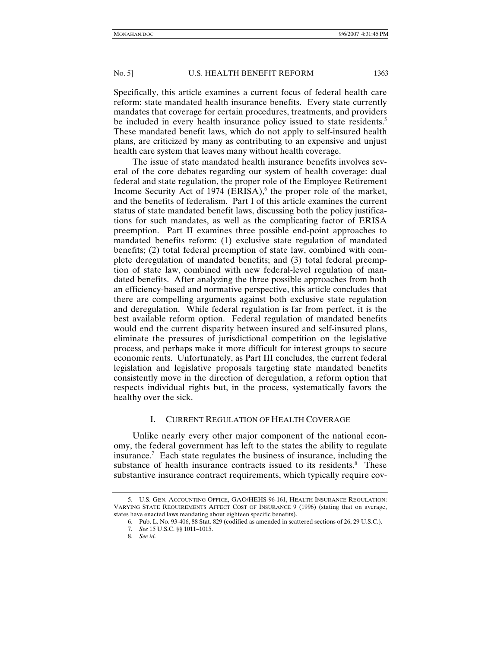Specifically, this article examines a current focus of federal health care reform: state mandated health insurance benefits. Every state currently mandates that coverage for certain procedures, treatments, and providers be included in every health insurance policy issued to state residents.<sup>5</sup> These mandated benefit laws, which do not apply to self-insured health plans, are criticized by many as contributing to an expensive and unjust health care system that leaves many without health coverage.

The issue of state mandated health insurance benefits involves several of the core debates regarding our system of health coverage: dual federal and state regulation, the proper role of the Employee Retirement Income Security Act of 1974 (ERISA),<sup>6</sup> the proper role of the market, and the benefits of federalism. Part I of this article examines the current status of state mandated benefit laws, discussing both the policy justifications for such mandates, as well as the complicating factor of ERISA preemption. Part II examines three possible end-point approaches to mandated benefits reform: (1) exclusive state regulation of mandated benefits; (2) total federal preemption of state law, combined with complete deregulation of mandated benefits; and (3) total federal preemption of state law, combined with new federal-level regulation of mandated benefits. After analyzing the three possible approaches from both an efficiency-based and normative perspective, this article concludes that there are compelling arguments against both exclusive state regulation and deregulation. While federal regulation is far from perfect, it is the best available reform option. Federal regulation of mandated benefits would end the current disparity between insured and self-insured plans, eliminate the pressures of jurisdictional competition on the legislative process, and perhaps make it more difficult for interest groups to secure economic rents. Unfortunately, as Part III concludes, the current federal legislation and legislative proposals targeting state mandated benefits consistently move in the direction of deregulation, a reform option that respects individual rights but, in the process, systematically favors the healthy over the sick.

# I. CURRENT REGULATION OF HEALTH COVERAGE

Unlike nearly every other major component of the national economy, the federal government has left to the states the ability to regulate insurance.7 Each state regulates the business of insurance, including the substance of health insurance contracts issued to its residents.<sup>8</sup> These substantive insurance contract requirements, which typically require cov-

 <sup>5.</sup> U.S. GEN. ACCOUNTING OFFICE, GAO/HEHS-96-161, HEALTH INSURANCE REGULATION: VARYING STATE REQUIREMENTS AFFECT COST OF INSURANCE 9 (1996) (stating that on average, states have enacted laws mandating about eighteen specific benefits).

 <sup>6.</sup> Pub. L. No. 93-406, 88 Stat. 829 (codified as amended in scattered sections of 26, 29 U.S.C.).

<sup>7</sup>*. See* 15 U.S.C. §§ 1011–1015.

<sup>8</sup>*. See id.*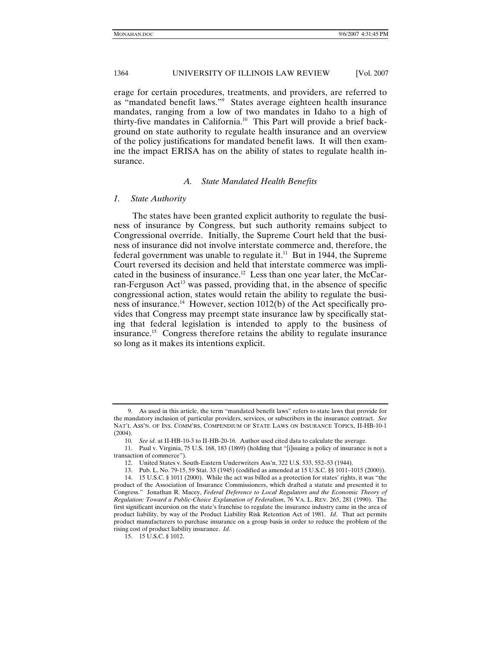erage for certain procedures, treatments, and providers, are referred to as "mandated benefit laws."9 States average eighteen health insurance mandates, ranging from a low of two mandates in Idaho to a high of thirty-five mandates in California.10 This Part will provide a brief background on state authority to regulate health insurance and an overview of the policy justifications for mandated benefit laws. It will then examine the impact ERISA has on the ability of states to regulate health insurance.

#### *A. State Mandated Health Benefits*

#### *1. State Authority*

The states have been granted explicit authority to regulate the business of insurance by Congress, but such authority remains subject to Congressional override. Initially, the Supreme Court held that the business of insurance did not involve interstate commerce and, therefore, the federal government was unable to regulate it.<sup>11</sup> But in 1944, the Supreme Court reversed its decision and held that interstate commerce was implicated in the business of insurance.<sup>12</sup> Less than one year later, the McCarran-Ferguson  $Act^{13}$  was passed, providing that, in the absence of specific congressional action, states would retain the ability to regulate the business of insurance.<sup>14</sup> However, section 1012(b) of the Act specifically provides that Congress may preempt state insurance law by specifically stating that federal legislation is intended to apply to the business of insurance.15 Congress therefore retains the ability to regulate insurance so long as it makes its intentions explicit.

 <sup>9.</sup> As used in this article, the term "mandated benefit laws" refers to state laws that provide for the mandatory inclusion of particular providers, services, or subscribers in the insurance contract. *See* NAT'L ASS'N. OF INS. COMM'RS, COMPENDIUM OF STATE LAWS ON INSURANCE TOPICS, II-HB-10-1 (2004).

<sup>10</sup>*. See id*. at II-HB-10-3 to II-HB-20-16. Author used cited data to calculate the average.

 <sup>11.</sup> Paul v. Virginia, 75 U.S. 168, 183 (1869) (holding that "[i]ssuing a policy of insurance is not a transaction of commerce").

 <sup>12.</sup> United States v. South-Eastern Underwriters Ass'n, 322 U.S. 533, 552–53 (1944).

 <sup>13.</sup> Pub. L. No. 79-15, 59 Stat. 33 (1945) (codified as amended at 15 U.S.C. §§ 1011–1015 (2000)).

 <sup>14. 15</sup> U.S.C. § 1011 (2000). While the act was billed as a protection for states' rights, it was "the product of the Association of Insurance Commissioners, which drafted a statute and presented it to Congress." Jonathan R. Macey, *Federal Deference to Local Regulators and the Economic Theory of Regulation: Toward a Public-Choice Explanation of Federalism*, 76 VA. L. REV. 265, 281 (1990). The first significant incursion on the state's franchise to regulate the insurance industry came in the area of product liability, by way of the Product Liability Risk Retention Act of 1981. *Id*. That act permits product manufacturers to purchase insurance on a group basis in order to reduce the problem of the rising cost of product liability insurance. *Id*.

 <sup>15. 15</sup> U.S.C. § 1012.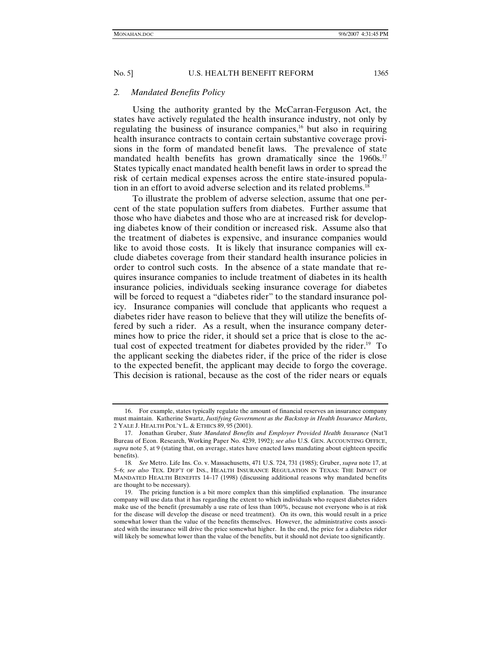#### *2. Mandated Benefits Policy*

Using the authority granted by the McCarran-Ferguson Act, the states have actively regulated the health insurance industry, not only by regulating the business of insurance companies, $16$  but also in requiring health insurance contracts to contain certain substantive coverage provisions in the form of mandated benefit laws. The prevalence of state mandated health benefits has grown dramatically since the 1960s.<sup>17</sup> States typically enact mandated health benefit laws in order to spread the risk of certain medical expenses across the entire state-insured population in an effort to avoid adverse selection and its related problems.<sup>18</sup>

To illustrate the problem of adverse selection, assume that one percent of the state population suffers from diabetes. Further assume that those who have diabetes and those who are at increased risk for developing diabetes know of their condition or increased risk. Assume also that the treatment of diabetes is expensive, and insurance companies would like to avoid those costs. It is likely that insurance companies will exclude diabetes coverage from their standard health insurance policies in order to control such costs. In the absence of a state mandate that requires insurance companies to include treatment of diabetes in its health insurance policies, individuals seeking insurance coverage for diabetes will be forced to request a "diabetes rider" to the standard insurance policy. Insurance companies will conclude that applicants who request a diabetes rider have reason to believe that they will utilize the benefits offered by such a rider. As a result, when the insurance company determines how to price the rider, it should set a price that is close to the actual cost of expected treatment for diabetes provided by the rider.<sup>19</sup> To the applicant seeking the diabetes rider, if the price of the rider is close to the expected benefit, the applicant may decide to forgo the coverage. This decision is rational, because as the cost of the rider nears or equals

 <sup>16.</sup> For example, states typically regulate the amount of financial reserves an insurance company must maintain. Katherine Swartz, *Justifying Government as the Backstop in Health Insurance Markets*, 2 YALE J. HEALTH POL'Y L. & ETHICS 89, 95 (2001).

 <sup>17.</sup> Jonathan Gruber, *State Mandated Benefits and Employer Provided Health Insurance* (Nat'l Bureau of Econ. Research, Working Paper No. 4239, 1992); *see also* U.S. GEN. ACCOUNTING OFFICE, *supra* note 5, at 9 (stating that, on average, states have enacted laws mandating about eighteen specific benefits).

<sup>18</sup>*. See* Metro. Life Ins. Co. v. Massachusetts, 471 U.S. 724, 731 (1985); Gruber, *supra* note 17, at 5–6; *see also* TEX. DEP'T OF INS., HEALTH INSURANCE REGULATION IN TEXAS: THE IMPACT OF MANDATED HEALTH BENEFITS 14–17 (1998) (discussing additional reasons why mandated benefits are thought to be necessary).

 <sup>19.</sup> The pricing function is a bit more complex than this simplified explanation. The insurance company will use data that it has regarding the extent to which individuals who request diabetes riders make use of the benefit (presumably a use rate of less than 100%, because not everyone who is at risk for the disease will develop the disease or need treatment). On its own, this would result in a price somewhat lower than the value of the benefits themselves. However, the administrative costs associated with the insurance will drive the price somewhat higher. In the end, the price for a diabetes rider will likely be somewhat lower than the value of the benefits, but it should not deviate too significantly.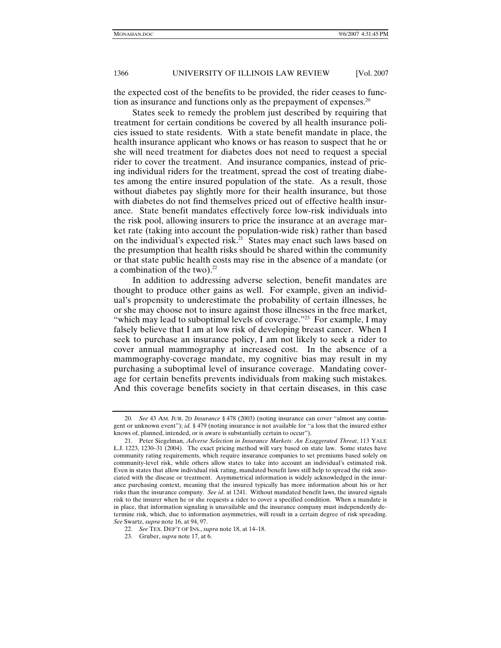the expected cost of the benefits to be provided, the rider ceases to function as insurance and functions only as the prepayment of expenses. $20$ 

States seek to remedy the problem just described by requiring that treatment for certain conditions be covered by all health insurance policies issued to state residents. With a state benefit mandate in place, the health insurance applicant who knows or has reason to suspect that he or she will need treatment for diabetes does not need to request a special rider to cover the treatment. And insurance companies, instead of pricing individual riders for the treatment, spread the cost of treating diabetes among the entire insured population of the state. As a result, those without diabetes pay slightly more for their health insurance, but those with diabetes do not find themselves priced out of effective health insurance. State benefit mandates effectively force low-risk individuals into the risk pool, allowing insurers to price the insurance at an average market rate (taking into account the population-wide risk) rather than based on the individual's expected risk.<sup>21</sup> States may enact such laws based on the presumption that health risks should be shared within the community or that state public health costs may rise in the absence of a mandate (or a combination of the two). $^{22}$ 

In addition to addressing adverse selection, benefit mandates are thought to produce other gains as well. For example, given an individual's propensity to underestimate the probability of certain illnesses, he or she may choose not to insure against those illnesses in the free market, "which may lead to suboptimal levels of coverage."<sup>23</sup> For example, I may falsely believe that I am at low risk of developing breast cancer. When I seek to purchase an insurance policy, I am not likely to seek a rider to cover annual mammography at increased cost. In the absence of a mammography-coverage mandate, my cognitive bias may result in my purchasing a suboptimal level of insurance coverage. Mandating coverage for certain benefits prevents individuals from making such mistakes. And this coverage benefits society in that certain diseases, in this case

<sup>20</sup>*. See* 43 AM. JUR. 2D *Insurance* § 478 (2003) (noting insurance can cover "almost any contingent or unknown event"); *id.* § 479 (noting insurance is not available for "a loss that the insured either knows of, planned, intended, or is aware is substantially certain to occur").

 <sup>21.</sup> Peter Siegelman, *Adverse Selection in Insurance Markets: An Exaggerated Threat*, 113 YALE L.J. 1223, 1230–31 (2004). The exact pricing method will vary based on state law. Some states have community rating requirements, which require insurance companies to set premiums based solely on community-level risk, while others allow states to take into account an individual's estimated risk. Even in states that allow individual risk rating, mandated benefit laws still help to spread the risk associated with the disease or treatment. Asymmetrical information is widely acknowledged in the insurance purchasing context, meaning that the insured typically has more information about his or her risks than the insurance company. *See id*. at 1241. Without mandated benefit laws, the insured signals risk to the insurer when he or she requests a rider to cover a specified condition. When a mandate is in place, that information signaling is unavailable and the insurance company must independently determine risk, which, due to information asymmetries, will result in a certain degree of risk spreading. *See* Swartz, *supra* note 16, at 94, 97.

<sup>22</sup>*. See* TEX. DEP'T OF INS., *supra* note 18, at 14–18.

 <sup>23.</sup> Gruber, *supra* note 17, at 6.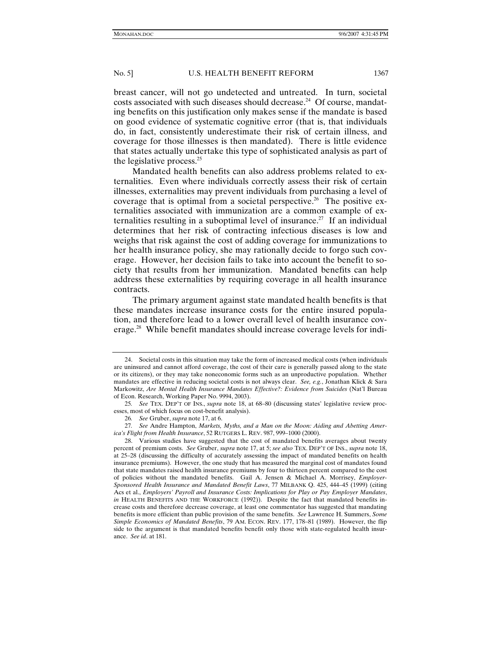breast cancer, will not go undetected and untreated. In turn, societal costs associated with such diseases should decrease.<sup>24</sup> Of course, mandating benefits on this justification only makes sense if the mandate is based on good evidence of systematic cognitive error (that is, that individuals do, in fact, consistently underestimate their risk of certain illness, and coverage for those illnesses is then mandated). There is little evidence that states actually undertake this type of sophisticated analysis as part of the legislative process.25

Mandated health benefits can also address problems related to externalities. Even where individuals correctly assess their risk of certain illnesses, externalities may prevent individuals from purchasing a level of coverage that is optimal from a societal perspective.<sup>26</sup> The positive externalities associated with immunization are a common example of externalities resulting in a suboptimal level of insurance.<sup>27</sup> If an individual determines that her risk of contracting infectious diseases is low and weighs that risk against the cost of adding coverage for immunizations to her health insurance policy, she may rationally decide to forgo such coverage. However, her decision fails to take into account the benefit to society that results from her immunization. Mandated benefits can help address these externalities by requiring coverage in all health insurance contracts.

The primary argument against state mandated health benefits is that these mandates increase insurance costs for the entire insured population, and therefore lead to a lower overall level of health insurance coverage.<sup>28</sup> While benefit mandates should increase coverage levels for indi-

 <sup>24.</sup> Societal costs in this situation may take the form of increased medical costs (when individuals are uninsured and cannot afford coverage, the cost of their care is generally passed along to the state or its citizens), or they may take noneconomic forms such as an unproductive population. Whether mandates are effective in reducing societal costs is not always clear. *See, e.g.*, Jonathan Klick & Sara Markowitz, *Are Mental Health Insurance Mandates Effective?: Evidence from Suicides* (Nat'l Bureau of Econ. Research, Working Paper No. 9994, 2003).

<sup>25</sup>*. See* TEX. DEP'T OF INS., *supra* note 18, at 68–80 (discussing states' legislative review processes, most of which focus on cost-benefit analysis).

<sup>26</sup>*. See* Gruber, *supra* note 17, at 6.

<sup>27</sup>*. See* Andre Hampton, *Markets, Myths, and a Man on the Moon: Aiding and Abetting America's Flight from Health Insurance*, 52 RUTGERS L. REV. 987, 999–1000 (2000).

 <sup>28.</sup> Various studies have suggested that the cost of mandated benefits averages about twenty percent of premium costs. *See* Gruber, *supra* note 17, at 5; *see also* TEX. DEP'T OF INS., *supra* note 18, at 25–28 (discussing the difficulty of accurately assessing the impact of mandated benefits on health insurance premiums). However, the one study that has measured the marginal cost of mandates found that state mandates raised health insurance premiums by four to thirteen percent compared to the cost of policies without the mandated benefits. Gail A. Jensen & Michael A. Morrisey, *Employer-Sponsored Health Insurance and Mandated Benefit Laws*, 77 MILBANK Q. 425, 444–45 (1999) (citing Acs et al., *Employers' Payroll and Insurance Costs: Implications for Play or Pay Employer Mandates*, *in* HEALTH BENEFITS AND THE WORKFORCE (1992)). Despite the fact that mandated benefits increase costs and therefore decrease coverage, at least one commentator has suggested that mandating benefits is more efficient than public provision of the same benefits. *See* Lawrence H. Summers, *Some Simple Economics of Mandated Benefits*, 79 AM. ECON. REV. 177, 178–81 (1989). However, the flip side to the argument is that mandated benefits benefit only those with state-regulated health insurance. *See id*. at 181.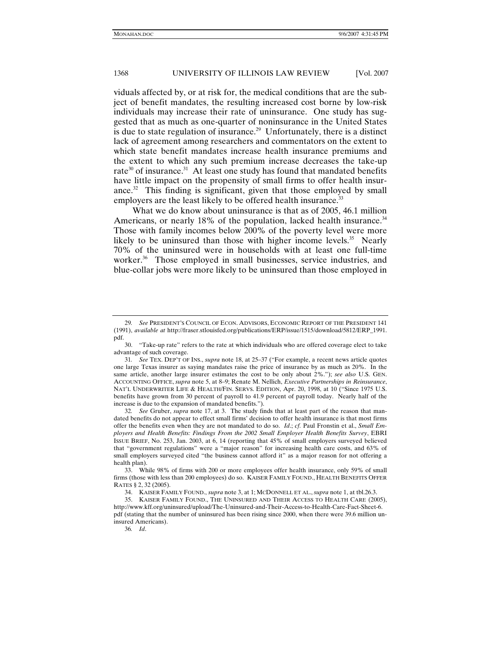viduals affected by, or at risk for, the medical conditions that are the subject of benefit mandates, the resulting increased cost borne by low-risk individuals may increase their rate of uninsurance. One study has suggested that as much as one-quarter of noninsurance in the United States is due to state regulation of insurance.29 Unfortunately, there is a distinct lack of agreement among researchers and commentators on the extent to which state benefit mandates increase health insurance premiums and the extent to which any such premium increase decreases the take-up rate<sup>30</sup> of insurance.<sup>31</sup> At least one study has found that mandated benefits have little impact on the propensity of small firms to offer health insurance. $32$  This finding is significant, given that those employed by small employers are the least likely to be offered health insurance.<sup>33</sup>

What we do know about uninsurance is that as of 2005, 46.1 million Americans, or nearly 18% of the population, lacked health insurance.<sup>34</sup> Those with family incomes below 200% of the poverty level were more likely to be uninsured than those with higher income levels.<sup>35</sup> Nearly 70% of the uninsured were in households with at least one full-time worker.<sup>36</sup> Those employed in small businesses, service industries, and blue-collar jobs were more likely to be uninsured than those employed in

34. KAISER FAMILY FOUND., *supra* note 3, at 1; MCDONNELL ET AL., *supra* note 1, at tbl.26.3.

<sup>29</sup>*. See* PRESIDENT'S COUNCIL OF ECON. ADVISORS, ECONOMIC REPORT OF THE PRESIDENT 141 (1991), *available at* http://fraser.stlouisfed.org/publications/ERP/issue/1515/download/5812/ERP\_1991. pdf.

 <sup>30. &</sup>quot;Take-up rate" refers to the rate at which individuals who are offered coverage elect to take advantage of such coverage.

<sup>31</sup>*. See* TEX. DEP'T OF INS., *supra* note 18, at 25–37 ("For example, a recent news article quotes one large Texas insurer as saying mandates raise the price of insurance by as much as 20%. In the same article, another large insurer estimates the cost to be only about 2%."); *see also* U.S. GEN. ACCOUNTING OFFICE, *supra* note 5, at 8–9; Renate M. Nellich, *Executive Partnerships in Reinsurance*, NAT'L UNDERWRITER LIFE & HEALTH/FIN. SERVS. EDITION, Apr. 20, 1998, at 10 ("Since 1975 U.S. benefits have grown from 30 percent of payroll to 41.9 percent of payroll today. Nearly half of the increase is due to the expansion of mandated benefits.").

<sup>32</sup>*. See* Gruber, *supra* note 17, at 3. The study finds that at least part of the reason that mandated benefits do not appear to effect small firms' decision to offer health insurance is that most firms offer the benefits even when they are not mandated to do so. *Id*.; *cf.* Paul Fronstin et al., *Small Employers and Health Benefits: Findings From the 2002 Small Employer Health Benefits Survey*, EBRI ISSUE BRIEF, No. 253, Jan. 2003, at 6, 14 (reporting that 45% of small employers surveyed believed that "government regulations" were a "major reason" for increasing health care costs, and 63% of small employers surveyed cited "the business cannot afford it" as a major reason for not offering a health plan).

 <sup>33.</sup> While 98% of firms with 200 or more employees offer health insurance, only 59% of small firms (those with less than 200 employees) do so. KAISER FAMILY FOUND., HEALTH BENEFITS OFFER RATES § 2, 32 (2005).

 <sup>35.</sup> KAISER FAMILY FOUND., THE UNINSURED AND THEIR ACCESS TO HEALTH CARE (2005), http://www.kff.org/uninsured/upload/The-Uninsured-and-Their-Access-to-Health-Care-Fact-Sheet-6. pdf (stating that the number of uninsured has been rising since 2000, when there were 39.6 million uninsured Americans).

<sup>36</sup>*. Id*.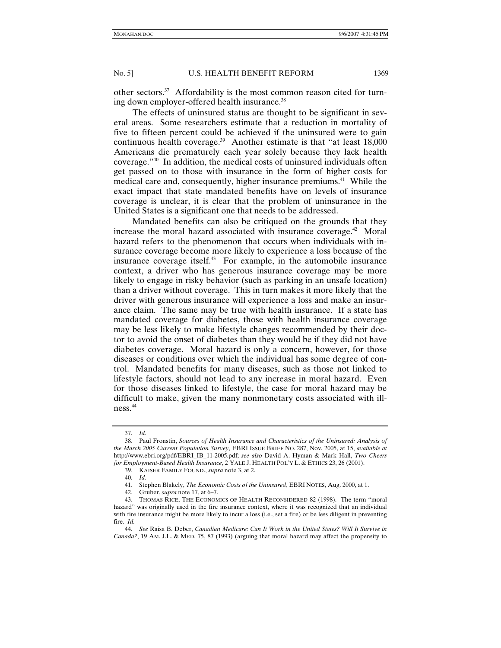other sectors.37 Affordability is the most common reason cited for turning down employer-offered health insurance.<sup>38</sup>

The effects of uninsured status are thought to be significant in several areas. Some researchers estimate that a reduction in mortality of five to fifteen percent could be achieved if the uninsured were to gain continuous health coverage.<sup>39</sup> Another estimate is that "at least 18,000 Americans die prematurely each year solely because they lack health coverage."40 In addition, the medical costs of uninsured individuals often get passed on to those with insurance in the form of higher costs for medical care and, consequently, higher insurance premiums.<sup>41</sup> While the exact impact that state mandated benefits have on levels of insurance coverage is unclear, it is clear that the problem of uninsurance in the United States is a significant one that needs to be addressed.

Mandated benefits can also be critiqued on the grounds that they increase the moral hazard associated with insurance coverage.<sup>42</sup> Moral hazard refers to the phenomenon that occurs when individuals with insurance coverage become more likely to experience a loss because of the insurance coverage itself.<sup>43</sup> For example, in the automobile insurance context, a driver who has generous insurance coverage may be more likely to engage in risky behavior (such as parking in an unsafe location) than a driver without coverage. This in turn makes it more likely that the driver with generous insurance will experience a loss and make an insurance claim. The same may be true with health insurance. If a state has mandated coverage for diabetes, those with health insurance coverage may be less likely to make lifestyle changes recommended by their doctor to avoid the onset of diabetes than they would be if they did not have diabetes coverage. Moral hazard is only a concern, however, for those diseases or conditions over which the individual has some degree of control. Mandated benefits for many diseases, such as those not linked to lifestyle factors, should not lead to any increase in moral hazard. Even for those diseases linked to lifestyle, the case for moral hazard may be difficult to make, given the many nonmonetary costs associated with illness.44

<sup>37</sup>*. Id*.

 <sup>38.</sup> Paul Fronstin, *Sources of Health Insurance and Characteristics of the Uninsured: Analysis of the March 2005 Current Population Survey*, EBRI ISSUE BRIEF NO. 287, Nov. 2005, at 15, *available at* http://www.ebri.org/pdf/EBRI\_IB\_11-2005.pdf; *see also* David A. Hyman & Mark Hall, *Two Cheers for Employment-Based Health Insurance*, 2 YALE J. HEALTH POL'Y L. & ETHICS 23, 26 (2001).

 <sup>39.</sup> KAISER FAMILY FOUND., *supra* note 3, at 2.

<sup>40</sup>*. Id*.

 <sup>41.</sup> Stephen Blakely, *The Economic Costs of the Uninsured*, EBRI NOTES, Aug. 2000, at 1.

 <sup>42.</sup> Gruber, *supra* note 17, at 6–7.

 <sup>43.</sup> THOMAS RICE, THE ECONOMICS OF HEALTH RECONSIDERED 82 (1998). The term "moral hazard" was originally used in the fire insurance context, where it was recognized that an individual with fire insurance might be more likely to incur a loss (i.e., set a fire) or be less diligent in preventing fire. *Id.*

<sup>44</sup>*. See* Raisa B. Deber, *Canadian Medicare: Can It Work in the United States? Will It Survive in Canada?*, 19 AM. J.L. & MED. 75, 87 (1993) (arguing that moral hazard may affect the propensity to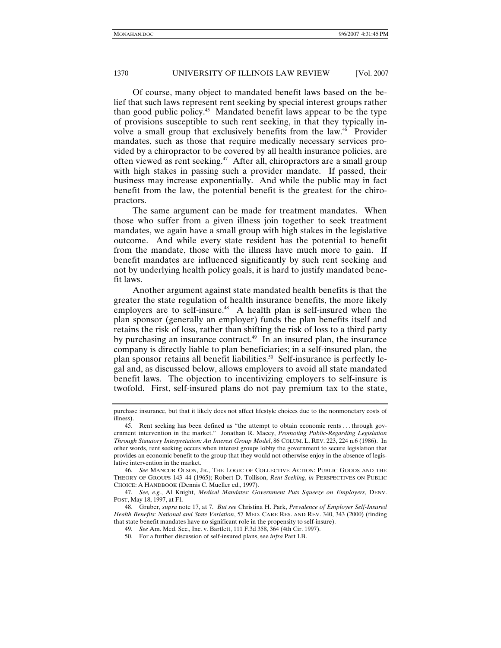Of course, many object to mandated benefit laws based on the belief that such laws represent rent seeking by special interest groups rather than good public policy.45 Mandated benefit laws appear to be the type of provisions susceptible to such rent seeking, in that they typically involve a small group that exclusively benefits from the law.46 Provider mandates, such as those that require medically necessary services provided by a chiropractor to be covered by all health insurance policies, are often viewed as rent seeking.<sup>47</sup> After all, chiropractors are a small group with high stakes in passing such a provider mandate. If passed, their business may increase exponentially. And while the public may in fact benefit from the law, the potential benefit is the greatest for the chiropractors.

The same argument can be made for treatment mandates. When those who suffer from a given illness join together to seek treatment mandates, we again have a small group with high stakes in the legislative outcome. And while every state resident has the potential to benefit from the mandate, those with the illness have much more to gain. If benefit mandates are influenced significantly by such rent seeking and not by underlying health policy goals, it is hard to justify mandated benefit laws.

Another argument against state mandated health benefits is that the greater the state regulation of health insurance benefits, the more likely employers are to self-insure.<sup>48</sup> A health plan is self-insured when the plan sponsor (generally an employer) funds the plan benefits itself and retains the risk of loss, rather than shifting the risk of loss to a third party by purchasing an insurance contract.<sup> $49$ </sup> In an insured plan, the insurance company is directly liable to plan beneficiaries; in a self-insured plan, the plan sponsor retains all benefit liabilities.<sup>50</sup> Self-insurance is perfectly legal and, as discussed below, allows employers to avoid all state mandated benefit laws. The objection to incentivizing employers to self-insure is twofold. First, self-insured plans do not pay premium tax to the state,

47*. See, e.g.*, Al Knight, *Medical Mandates: Government Puts Squeeze on Employers*, DENV. POST, May 18, 1997, at F1.

 48. Gruber, *supra* note 17, at 7. *But see* Christina H. Park, *Prevalence of Employer Self-Insured Health Benefits: National and State Variation*, 57 MED. CARE RES. AND REV. 340, 343 (2000) (finding that state benefit mandates have no significant role in the propensity to self-insure).

50. For a further discussion of self-insured plans, see *infra* Part I.B.

purchase insurance, but that it likely does not affect lifestyle choices due to the nonmonetary costs of illness).

 <sup>45.</sup> Rent seeking has been defined as "the attempt to obtain economic rents . . . through government intervention in the market." Jonathan R. Macey, *Promoting Public-Regarding Legislation Through Statutory Interpretation: An Interest Group Model*, 86 COLUM. L. REV. 223, 224 n.6 (1986). In other words, rent seeking occurs when interest groups lobby the government to secure legislation that provides an economic benefit to the group that they would not otherwise enjoy in the absence of legislative intervention in the market.

<sup>46</sup>*. See* MANCUR OLSON, JR., THE LOGIC OF COLLECTIVE ACTION: PUBLIC GOODS AND THE THEORY OF GROUPS 143–44 (1965); Robert D. Tollison, *Rent Seeking*, *in* PERSPECTIVES ON PUBLIC CHOICE: A HANDBOOK (Dennis C. Mueller ed., 1997).

<sup>49</sup>*. See* Am. Med. Sec., Inc. v. Bartlett, 111 F.3d 358, 364 (4th Cir. 1997).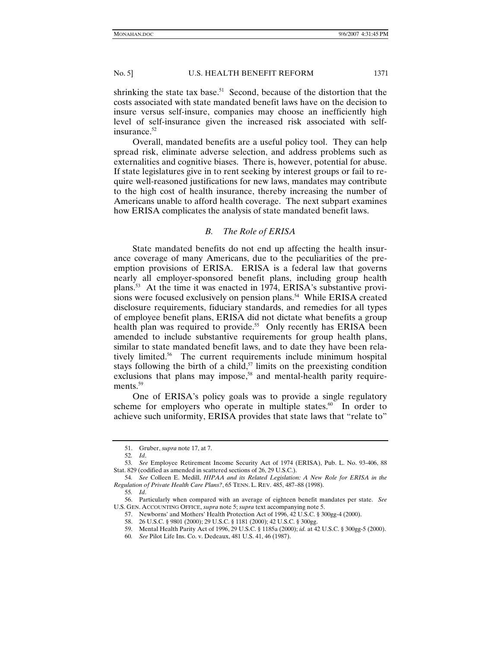shrinking the state tax base.<sup>51</sup> Second, because of the distortion that the costs associated with state mandated benefit laws have on the decision to insure versus self-insure, companies may choose an inefficiently high level of self-insurance given the increased risk associated with selfinsurance.<sup>52</sup>

Overall, mandated benefits are a useful policy tool. They can help spread risk, eliminate adverse selection, and address problems such as externalities and cognitive biases. There is, however, potential for abuse. If state legislatures give in to rent seeking by interest groups or fail to require well-reasoned justifications for new laws, mandates may contribute to the high cost of health insurance, thereby increasing the number of Americans unable to afford health coverage. The next subpart examines how ERISA complicates the analysis of state mandated benefit laws.

# *B. The Role of ERISA*

State mandated benefits do not end up affecting the health insurance coverage of many Americans, due to the peculiarities of the preemption provisions of ERISA. ERISA is a federal law that governs nearly all employer-sponsored benefit plans, including group health plans.53 At the time it was enacted in 1974, ERISA's substantive provisions were focused exclusively on pension plans.<sup>54</sup> While ERISA created disclosure requirements, fiduciary standards, and remedies for all types of employee benefit plans, ERISA did not dictate what benefits a group health plan was required to provide.<sup>55</sup> Only recently has ERISA been amended to include substantive requirements for group health plans, similar to state mandated benefit laws, and to date they have been relatively limited.56 The current requirements include minimum hospital stays following the birth of a child, $57$  limits on the preexisting condition exclusions that plans may impose,<sup>58</sup> and mental-health parity requirements.<sup>59</sup>

One of ERISA's policy goals was to provide a single regulatory scheme for employers who operate in multiple states. $60$  In order to achieve such uniformity, ERISA provides that state laws that "relate to"

 <sup>51.</sup> Gruber, *supra* note 17, at 7.

<sup>52</sup>*. Id*.

<sup>53</sup>*. See* Employee Retirement Income Security Act of 1974 (ERISA), Pub. L. No. 93-406, 88 Stat. 829 (codified as amended in scattered sections of 26, 29 U.S.C.).

<sup>54</sup>*. See* Colleen E. Medill, *HIPAA and its Related Legislation: A New Role for ERISA in the Regulation of Private Health Care Plans?*, 65 TENN. L. REV. 485, 487–88 (1998).

<sup>55</sup>*. Id*.

 <sup>56.</sup> Particularly when compared with an average of eighteen benefit mandates per state. *See* U.S. GEN. ACCOUNTING OFFICE, *supra* note 5; *supra* text accompanying note 5.

 <sup>57.</sup> Newborns' and Mothers' Health Protection Act of 1996, 42 U.S.C. § 300gg-4 (2000).

 <sup>58. 26</sup> U.S.C. § 9801 (2000); 29 U.S.C. § 1181 (2000); 42 U.S.C. § 300gg.

 <sup>59.</sup> Mental Health Parity Act of 1996, 29 U.S.C. § 1185a (2000); *id.* at 42 U.S.C. § 300gg-5 (2000).

<sup>60</sup>*. See* Pilot Life Ins. Co. v. Dedeaux, 481 U.S. 41, 46 (1987).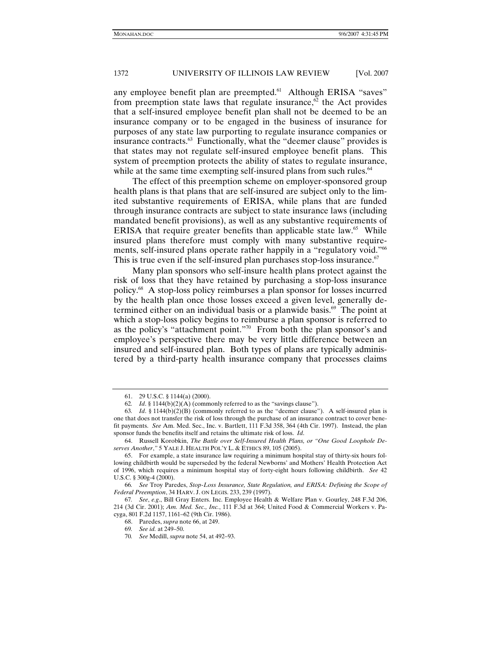any employee benefit plan are preempted.<sup>61</sup> Although ERISA "saves" from preemption state laws that regulate insurance,<sup> $62$ </sup> the Act provides that a self-insured employee benefit plan shall not be deemed to be an insurance company or to be engaged in the business of insurance for purposes of any state law purporting to regulate insurance companies or insurance contracts.<sup>63</sup> Functionally, what the "deemer clause" provides is that states may not regulate self-insured employee benefit plans. This system of preemption protects the ability of states to regulate insurance, while at the same time exempting self-insured plans from such rules.<sup>64</sup>

The effect of this preemption scheme on employer-sponsored group health plans is that plans that are self-insured are subject only to the limited substantive requirements of ERISA, while plans that are funded through insurance contracts are subject to state insurance laws (including mandated benefit provisions), as well as any substantive requirements of ERISA that require greater benefits than applicable state law.<sup>65</sup> While insured plans therefore must comply with many substantive requirements, self-insured plans operate rather happily in a "regulatory void."<sup>66</sup> This is true even if the self-insured plan purchases stop-loss insurance.<sup>67</sup>

Many plan sponsors who self-insure health plans protect against the risk of loss that they have retained by purchasing a stop-loss insurance policy.68 A stop-loss policy reimburses a plan sponsor for losses incurred by the health plan once those losses exceed a given level, generally determined either on an individual basis or a planwide basis. $69$  The point at which a stop-loss policy begins to reimburse a plan sponsor is referred to as the policy's "attachment point."70 From both the plan sponsor's and employee's perspective there may be very little difference between an insured and self-insured plan. Both types of plans are typically administered by a third-party health insurance company that processes claims

 <sup>61. 29</sup> U.S.C. § 1144(a) (2000).

<sup>62</sup>*. Id*. § 1144(b)(2)(A) (commonly referred to as the "savings clause").

<sup>63</sup>*. Id*. § 1144(b)(2)(B) (commonly referred to as the "deemer clause"). A self-insured plan is one that does not transfer the risk of loss through the purchase of an insurance contract to cover benefit payments. *See* Am. Med. Sec., Inc. v. Bartlett, 111 F.3d 358, 364 (4th Cir. 1997). Instead, the plan sponsor funds the benefits itself and retains the ultimate risk of loss. *Id*.

 <sup>64.</sup> Russell Korobkin, *The Battle over Self-Insured Health Plans, or "One Good Loophole Deserves Another*,*"* 5 YALE J. HEALTH POL'Y L. & ETHICS 89, 105 (2005).

 <sup>65.</sup> For example, a state insurance law requiring a minimum hospital stay of thirty-six hours following childbirth would be superseded by the federal Newborns' and Mothers' Health Protection Act of 1996, which requires a minimum hospital stay of forty-eight hours following childbirth. *See* 42 U.S.C. § 300g-4 (2000).

<sup>66</sup>*. See* Troy Paredes, *Stop-Loss Insurance, State Regulation, and ERISA: Defining the Scope of Federal Preemption*, 34 HARV. J. ON LEGIS. 233, 239 (1997).

<sup>67</sup>*. See*, *e.g*., Bill Gray Enters. Inc. Employee Health & Welfare Plan v. Gourley, 248 F.3d 206, 214 (3d Cir. 2001); *Am. Med. Sec., Inc.*, 111 F.3d at 364; United Food & Commercial Workers v. Pacyga, 801 F.2d 1157, 1161–62 (9th Cir. 1986).

 <sup>68.</sup> Paredes, *supra* note 66, at 249.

<sup>69</sup>*. See id.* at 249–50.

<sup>70</sup>*. See* Medill, *supra* note 54, at 492–93.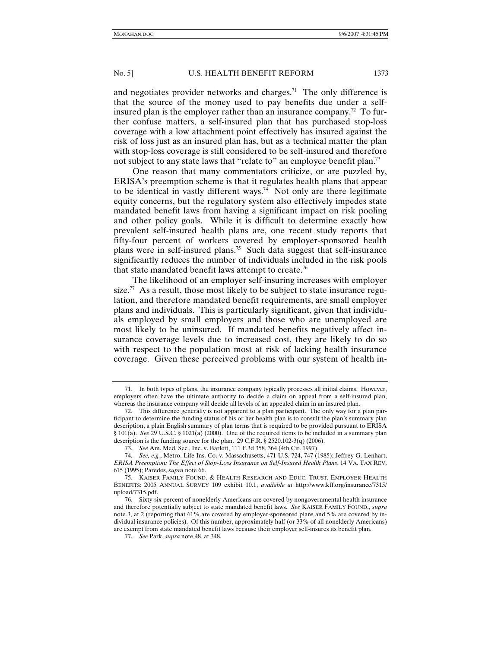and negotiates provider networks and charges.<sup>71</sup> The only difference is that the source of the money used to pay benefits due under a selfinsured plan is the employer rather than an insurance company.<sup>72</sup> To further confuse matters, a self-insured plan that has purchased stop-loss coverage with a low attachment point effectively has insured against the risk of loss just as an insured plan has, but as a technical matter the plan with stop-loss coverage is still considered to be self-insured and therefore not subject to any state laws that "relate to" an employee benefit plan.<sup>73</sup>

One reason that many commentators criticize, or are puzzled by, ERISA's preemption scheme is that it regulates health plans that appear to be identical in vastly different ways.<sup>74</sup> Not only are there legitimate equity concerns, but the regulatory system also effectively impedes state mandated benefit laws from having a significant impact on risk pooling and other policy goals. While it is difficult to determine exactly how prevalent self-insured health plans are, one recent study reports that fifty-four percent of workers covered by employer-sponsored health plans were in self-insured plans.75 Such data suggest that self-insurance significantly reduces the number of individuals included in the risk pools that state mandated benefit laws attempt to create.<sup>76</sup>

The likelihood of an employer self-insuring increases with employer size.<sup>77</sup> As a result, those most likely to be subject to state insurance regulation, and therefore mandated benefit requirements, are small employer plans and individuals. This is particularly significant, given that individuals employed by small employers and those who are unemployed are most likely to be uninsured. If mandated benefits negatively affect insurance coverage levels due to increased cost, they are likely to do so with respect to the population most at risk of lacking health insurance coverage. Given these perceived problems with our system of health in-

 <sup>71.</sup> In both types of plans, the insurance company typically processes all initial claims. However, employers often have the ultimate authority to decide a claim on appeal from a self-insured plan, whereas the insurance company will decide all levels of an appealed claim in an insured plan.

 <sup>72.</sup> This difference generally is not apparent to a plan participant. The only way for a plan participant to determine the funding status of his or her health plan is to consult the plan's summary plan description, a plain English summary of plan terms that is required to be provided pursuant to ERISA § 101(a). *See* 29 U.S.C. § 1021(a) (2000). One of the required items to be included in a summary plan description is the funding source for the plan. 29 C.F.R. § 2520.102-3(q) (2006).

<sup>73</sup>*. See* Am. Med. Sec., Inc. v. Barlett, 111 F.3d 358, 364 (4th Cir. 1997).

<sup>74</sup>*. See, e.g.*, Metro. Life Ins. Co. v. Massachusetts, 471 U.S. 724, 747 (1985); Jeffrey G. Lenhart, *ERISA Preemption: The Effect of Stop-Loss Insurance on Self-Insured Health Plans*, 14 VA. TAX REV. 615 (1995); Paredes, *supra* note 66.

 <sup>75.</sup> KAISER FAMILY FOUND. & HEALTH RESEARCH AND EDUC. TRUST, EMPLOYER HEALTH BENEFITS: 2005 ANNUAL SURVEY 109 exhibit 10.1, *available at* http://www.kff.org/insurance/7315/ upload/7315.pdf.

 <sup>76.</sup> Sixty-six percent of nonelderly Americans are covered by nongovernmental health insurance and therefore potentially subject to state mandated benefit laws. *See* KAISER FAMILY FOUND., *supra* note 3, at 2 (reporting that 61% are covered by employer-sponsored plans and 5% are covered by individual insurance policies). Of this number, approximately half (or 33% of all nonelderly Americans) are exempt from state mandated benefit laws because their employer self-insures its benefit plan.

<sup>77</sup>*. See* Park, *supra* note 48, at 348.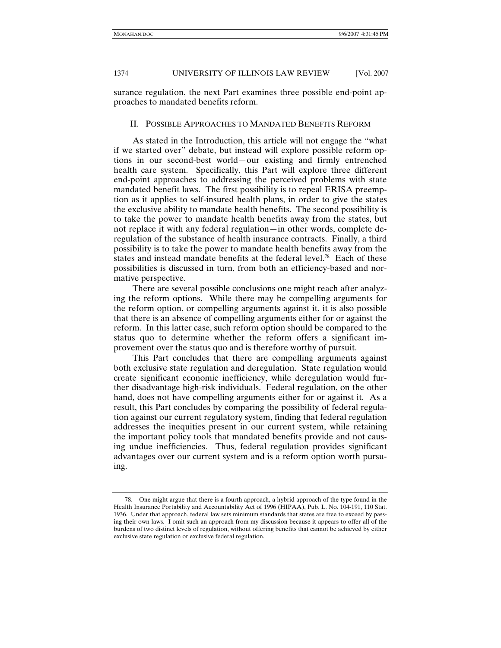surance regulation, the next Part examines three possible end-point approaches to mandated benefits reform.

# II. POSSIBLE APPROACHES TO MANDATED BENEFITS REFORM

As stated in the Introduction, this article will not engage the "what if we started over" debate, but instead will explore possible reform options in our second-best world—our existing and firmly entrenched health care system. Specifically, this Part will explore three different end-point approaches to addressing the perceived problems with state mandated benefit laws. The first possibility is to repeal ERISA preemption as it applies to self-insured health plans, in order to give the states the exclusive ability to mandate health benefits. The second possibility is to take the power to mandate health benefits away from the states, but not replace it with any federal regulation—in other words, complete deregulation of the substance of health insurance contracts. Finally, a third possibility is to take the power to mandate health benefits away from the states and instead mandate benefits at the federal level.<sup>78</sup> Each of these possibilities is discussed in turn, from both an efficiency-based and normative perspective.

There are several possible conclusions one might reach after analyzing the reform options. While there may be compelling arguments for the reform option, or compelling arguments against it, it is also possible that there is an absence of compelling arguments either for or against the reform. In this latter case, such reform option should be compared to the status quo to determine whether the reform offers a significant improvement over the status quo and is therefore worthy of pursuit.

This Part concludes that there are compelling arguments against both exclusive state regulation and deregulation. State regulation would create significant economic inefficiency, while deregulation would further disadvantage high-risk individuals. Federal regulation, on the other hand, does not have compelling arguments either for or against it. As a result, this Part concludes by comparing the possibility of federal regulation against our current regulatory system, finding that federal regulation addresses the inequities present in our current system, while retaining the important policy tools that mandated benefits provide and not causing undue inefficiencies. Thus, federal regulation provides significant advantages over our current system and is a reform option worth pursuing.

 <sup>78.</sup> One might argue that there is a fourth approach, a hybrid approach of the type found in the Health Insurance Portability and Accountability Act of 1996 (HIPAA), Pub. L. No. 104-191, 110 Stat. 1936. Under that approach, federal law sets minimum standards that states are free to exceed by passing their own laws. I omit such an approach from my discussion because it appears to offer all of the burdens of two distinct levels of regulation, without offering benefits that cannot be achieved by either exclusive state regulation or exclusive federal regulation.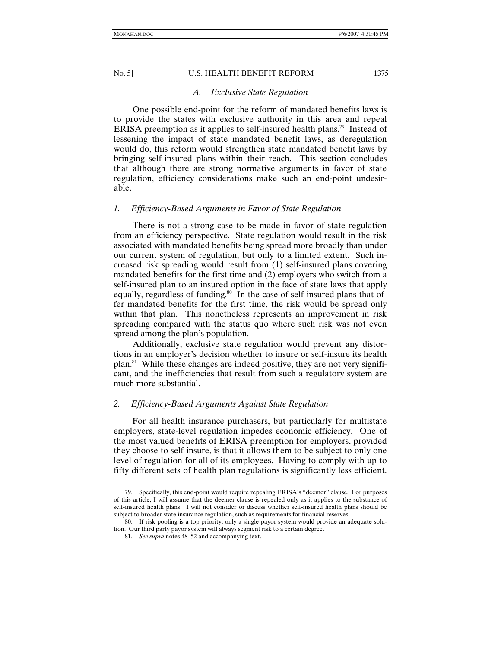#### *A. Exclusive State Regulation*

One possible end-point for the reform of mandated benefits laws is to provide the states with exclusive authority in this area and repeal ERISA preemption as it applies to self-insured health plans.79 Instead of lessening the impact of state mandated benefit laws, as deregulation would do, this reform would strengthen state mandated benefit laws by bringing self-insured plans within their reach. This section concludes that although there are strong normative arguments in favor of state regulation, efficiency considerations make such an end-point undesirable.

# *1. Efficiency-Based Arguments in Favor of State Regulation*

There is not a strong case to be made in favor of state regulation from an efficiency perspective. State regulation would result in the risk associated with mandated benefits being spread more broadly than under our current system of regulation, but only to a limited extent. Such increased risk spreading would result from (1) self-insured plans covering mandated benefits for the first time and (2) employers who switch from a self-insured plan to an insured option in the face of state laws that apply equally, regardless of funding.<sup>80</sup> In the case of self-insured plans that offer mandated benefits for the first time, the risk would be spread only within that plan. This nonetheless represents an improvement in risk spreading compared with the status quo where such risk was not even spread among the plan's population.

Additionally, exclusive state regulation would prevent any distortions in an employer's decision whether to insure or self-insure its health plan.81 While these changes are indeed positive, they are not very significant, and the inefficiencies that result from such a regulatory system are much more substantial.

# *2. Efficiency-Based Arguments Against State Regulation*

For all health insurance purchasers, but particularly for multistate employers, state-level regulation impedes economic efficiency. One of the most valued benefits of ERISA preemption for employers, provided they choose to self-insure, is that it allows them to be subject to only one level of regulation for all of its employees. Having to comply with up to fifty different sets of health plan regulations is significantly less efficient.

 <sup>79.</sup> Specifically, this end-point would require repealing ERISA's "deemer" clause. For purposes of this article, I will assume that the deemer clause is repealed only as it applies to the substance of self-insured health plans. I will not consider or discuss whether self-insured health plans should be subject to broader state insurance regulation, such as requirements for financial reserves.

 <sup>80.</sup> If risk pooling is a top priority, only a single payor system would provide an adequate solution. Our third party payor system will always segment risk to a certain degree.

<sup>81</sup>*. See supra* notes 48–52 and accompanying text.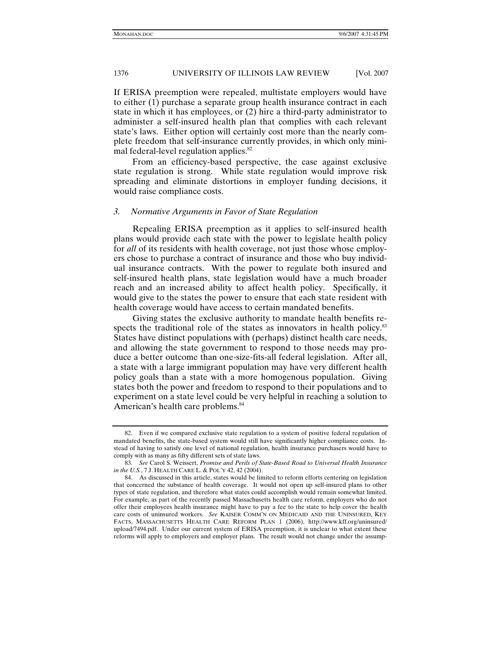If ERISA preemption were repealed, multistate employers would have to either (1) purchase a separate group health insurance contract in each state in which it has employees, or (2) hire a third-party administrator to administer a self-insured health plan that complies with each relevant state's laws. Either option will certainly cost more than the nearly complete freedom that self-insurance currently provides, in which only minimal federal-level regulation applies.<sup>82</sup>

From an efficiency-based perspective, the case against exclusive state regulation is strong. While state regulation would improve risk spreading and eliminate distortions in employer funding decisions, it would raise compliance costs.

# *3. Normative Arguments in Favor of State Regulation*

Repealing ERISA preemption as it applies to self-insured health plans would provide each state with the power to legislate health policy for *all* of its residents with health coverage, not just those whose employers chose to purchase a contract of insurance and those who buy individual insurance contracts. With the power to regulate both insured and self-insured health plans, state legislation would have a much broader reach and an increased ability to affect health policy. Specifically, it would give to the states the power to ensure that each state resident with health coverage would have access to certain mandated benefits.

Giving states the exclusive authority to mandate health benefits respects the traditional role of the states as innovators in health policy.<sup>83</sup> States have distinct populations with (perhaps) distinct health care needs, and allowing the state government to respond to those needs may produce a better outcome than one-size-fits-all federal legislation. After all, a state with a large immigrant population may have very different health policy goals than a state with a more homogenous population. Giving states both the power and freedom to respond to their populations and to experiment on a state level could be very helpful in reaching a solution to American's health care problems.<sup>84</sup>

 <sup>82.</sup> Even if we compared exclusive state regulation to a system of positive federal regulation of mandated benefits, the state-based system would still have significantly higher compliance costs. Instead of having to satisfy one level of national regulation, health insurance purchasers would have to comply with as many as fifty different sets of state laws.

<sup>83</sup>*. See* Carol S. Weissert, *Promise and Perils of State-Based Road to Universal Health Insurance in the U.S.*, 7 J. HEALTH CARE L. & POL'Y 42, 42 (2004).

 <sup>84.</sup> As discussed in this article, states would be limited to reform efforts centering on legislation that concerned the substance of health coverage. It would not open up self-insured plans to other types of state regulation, and therefore what states could accomplish would remain somewhat limited. For example, as part of the recently passed Massachusetts health care reform, employers who do not offer their employees health insurance might have to pay a fee to the state to help cover the health care costs of uninsured workers. *See* KAISER COMM'N ON MEDICAID AND THE UNINSURED, KEY FACTS, MASSACHUSETTS HEALTH CARE REFORM PLAN 1 (2006), http://www.kff.org/uninsured/ upload/7494.pdf. Under our current system of ERISA preemption, it is unclear to what extent these reforms will apply to employers and employer plans. The result would not change under the assump-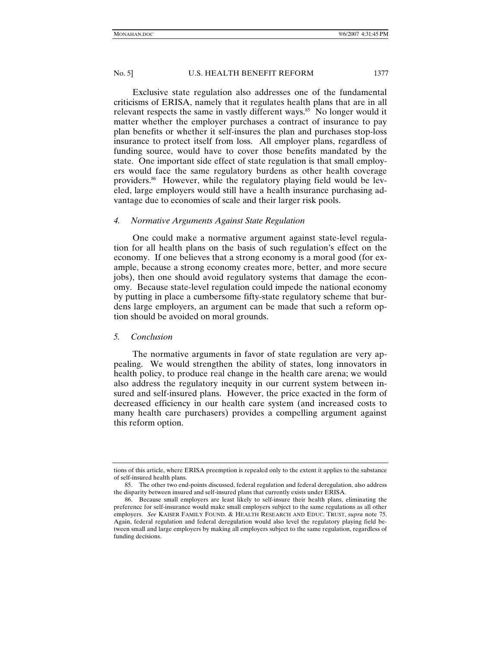Exclusive state regulation also addresses one of the fundamental criticisms of ERISA, namely that it regulates health plans that are in all relevant respects the same in vastly different ways.<sup>85</sup> No longer would it matter whether the employer purchases a contract of insurance to pay plan benefits or whether it self-insures the plan and purchases stop-loss insurance to protect itself from loss. All employer plans, regardless of funding source, would have to cover those benefits mandated by the state. One important side effect of state regulation is that small employers would face the same regulatory burdens as other health coverage providers.<sup>86</sup> However, while the regulatory playing field would be leveled, large employers would still have a health insurance purchasing advantage due to economies of scale and their larger risk pools.

# *4. Normative Arguments Against State Regulation*

One could make a normative argument against state-level regulation for all health plans on the basis of such regulation's effect on the economy. If one believes that a strong economy is a moral good (for example, because a strong economy creates more, better, and more secure jobs), then one should avoid regulatory systems that damage the economy. Because state-level regulation could impede the national economy by putting in place a cumbersome fifty-state regulatory scheme that burdens large employers, an argument can be made that such a reform option should be avoided on moral grounds.

# *5. Conclusion*

The normative arguments in favor of state regulation are very appealing. We would strengthen the ability of states, long innovators in health policy, to produce real change in the health care arena; we would also address the regulatory inequity in our current system between insured and self-insured plans. However, the price exacted in the form of decreased efficiency in our health care system (and increased costs to many health care purchasers) provides a compelling argument against this reform option.

tions of this article, where ERISA preemption is repealed only to the extent it applies to the substance of self-insured health plans.

 <sup>85.</sup> The other two end-points discussed, federal regulation and federal deregulation, also address the disparity between insured and self-insured plans that currently exists under ERISA.

 <sup>86.</sup> Because small employers are least likely to self-insure their health plans, eliminating the preference for self-insurance would make small employers subject to the same regulations as all other employers. *See* KAISER FAMILY FOUND. & HEALTH RESEARCH AND EDUC. TRUST, *supra* note 75. Again, federal regulation and federal deregulation would also level the regulatory playing field between small and large employers by making all employers subject to the same regulation, regardless of funding decisions.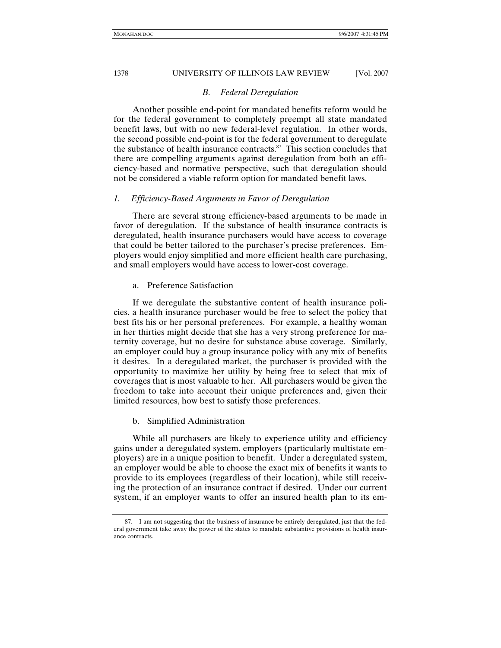# *B. Federal Deregulation*

Another possible end-point for mandated benefits reform would be for the federal government to completely preempt all state mandated benefit laws, but with no new federal-level regulation. In other words, the second possible end-point is for the federal government to deregulate the substance of health insurance contracts. $87$  This section concludes that there are compelling arguments against deregulation from both an efficiency-based and normative perspective, such that deregulation should not be considered a viable reform option for mandated benefit laws.

### *1. Efficiency-Based Arguments in Favor of Deregulation*

There are several strong efficiency-based arguments to be made in favor of deregulation. If the substance of health insurance contracts is deregulated, health insurance purchasers would have access to coverage that could be better tailored to the purchaser's precise preferences. Employers would enjoy simplified and more efficient health care purchasing, and small employers would have access to lower-cost coverage.

# a. Preference Satisfaction

If we deregulate the substantive content of health insurance policies, a health insurance purchaser would be free to select the policy that best fits his or her personal preferences. For example, a healthy woman in her thirties might decide that she has a very strong preference for maternity coverage, but no desire for substance abuse coverage. Similarly, an employer could buy a group insurance policy with any mix of benefits it desires. In a deregulated market, the purchaser is provided with the opportunity to maximize her utility by being free to select that mix of coverages that is most valuable to her. All purchasers would be given the freedom to take into account their unique preferences and, given their limited resources, how best to satisfy those preferences.

### b. Simplified Administration

While all purchasers are likely to experience utility and efficiency gains under a deregulated system, employers (particularly multistate employers) are in a unique position to benefit. Under a deregulated system, an employer would be able to choose the exact mix of benefits it wants to provide to its employees (regardless of their location), while still receiving the protection of an insurance contract if desired. Under our current system, if an employer wants to offer an insured health plan to its em-

 <sup>87.</sup> I am not suggesting that the business of insurance be entirely deregulated, just that the federal government take away the power of the states to mandate substantive provisions of health insurance contracts.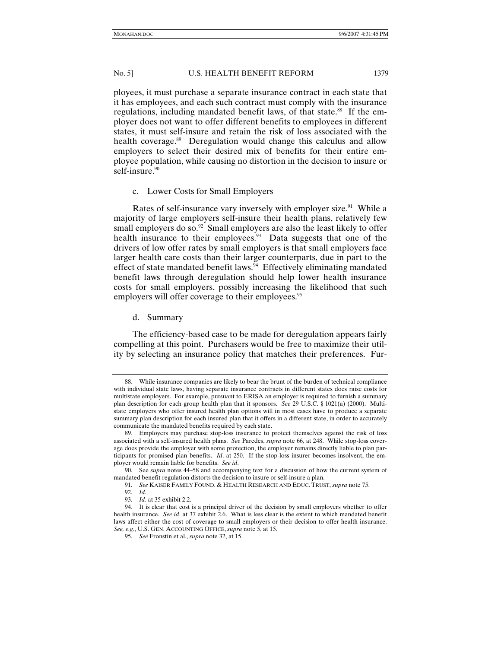ployees, it must purchase a separate insurance contract in each state that it has employees, and each such contract must comply with the insurance regulations, including mandated benefit laws, of that state.<sup>88</sup> If the employer does not want to offer different benefits to employees in different states, it must self-insure and retain the risk of loss associated with the health coverage.<sup>89</sup> Deregulation would change this calculus and allow employers to select their desired mix of benefits for their entire employee population, while causing no distortion in the decision to insure or self-insure.<sup>90</sup>

#### c. Lower Costs for Small Employers

Rates of self-insurance vary inversely with employer size.<sup>91</sup> While a majority of large employers self-insure their health plans, relatively few small employers do so. $92$  Small employers are also the least likely to offer health insurance to their employees. $93$  Data suggests that one of the drivers of low offer rates by small employers is that small employers face larger health care costs than their larger counterparts, due in part to the effect of state mandated benefit laws. $\frac{94}{4}$  Effectively eliminating mandated benefit laws through deregulation should help lower health insurance costs for small employers, possibly increasing the likelihood that such employers will offer coverage to their employees.<sup>95</sup>

### d. Summary

The efficiency-based case to be made for deregulation appears fairly compelling at this point. Purchasers would be free to maximize their utility by selecting an insurance policy that matches their preferences. Fur-

93*. Id*. at 35 exhibit 2.2.

 <sup>88.</sup> While insurance companies are likely to bear the brunt of the burden of technical compliance with individual state laws, having separate insurance contracts in different states does raise costs for multistate employers. For example, pursuant to ERISA an employer is required to furnish a summary plan description for each group health plan that it sponsors. *See* 29 U.S.C. § 1021(a) (2000). Multistate employers who offer insured health plan options will in most cases have to produce a separate summary plan description for each insured plan that it offers in a different state, in order to accurately communicate the mandated benefits required by each state.

 <sup>89.</sup> Employers may purchase stop-loss insurance to protect themselves against the risk of loss associated with a self-insured health plans. *See* Paredes, *supra* note 66, at 248. While stop-loss coverage does provide the employer with some protection, the employer remains directly liable to plan participants for promised plan benefits. *Id*. at 250. If the stop-loss insurer becomes insolvent, the employer would remain liable for benefits. *See id*.

<sup>90</sup>*.* See *supra* notes 44–58 and accompanying text for a discussion of how the current system of mandated benefit regulation distorts the decision to insure or self-insure a plan.

<sup>91</sup>*. See* KAISER FAMILY FOUND. & HEALTH RESEARCH AND EDUC. TRUST, *supra* note 75.

<sup>92</sup>*. Id*.

 <sup>94.</sup> It is clear that cost is a principal driver of the decision by small employers whether to offer health insurance. *See id*. at 37 exhibit 2.6. What is less clear is the extent to which mandated benefit laws affect either the cost of coverage to small employers or their decision to offer health insurance. *See, e.g.*, U.S. GEN. ACCOUNTING OFFICE, *supra* note 5, at 15.

<sup>95</sup>*. See* Fronstin et al., *supra* note 32, at 15.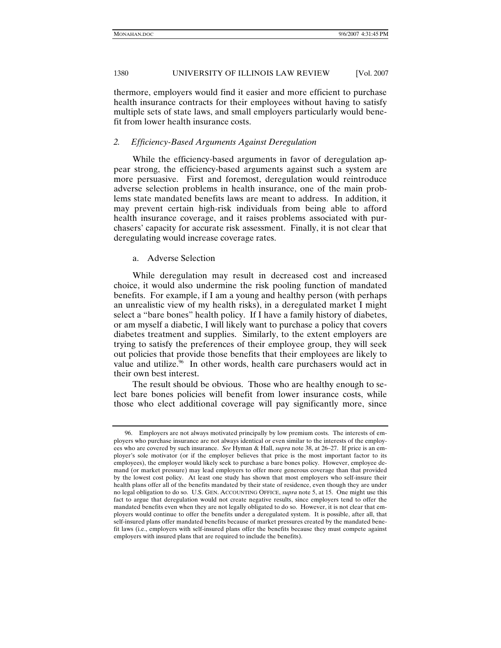thermore, employers would find it easier and more efficient to purchase health insurance contracts for their employees without having to satisfy multiple sets of state laws, and small employers particularly would benefit from lower health insurance costs.

# *2. Efficiency-Based Arguments Against Deregulation*

While the efficiency-based arguments in favor of deregulation appear strong, the efficiency-based arguments against such a system are more persuasive. First and foremost, deregulation would reintroduce adverse selection problems in health insurance, one of the main problems state mandated benefits laws are meant to address. In addition, it may prevent certain high-risk individuals from being able to afford health insurance coverage, and it raises problems associated with purchasers' capacity for accurate risk assessment. Finally, it is not clear that deregulating would increase coverage rates.

### a. Adverse Selection

While deregulation may result in decreased cost and increased choice, it would also undermine the risk pooling function of mandated benefits. For example, if I am a young and healthy person (with perhaps an unrealistic view of my health risks), in a deregulated market I might select a "bare bones" health policy. If I have a family history of diabetes, or am myself a diabetic, I will likely want to purchase a policy that covers diabetes treatment and supplies. Similarly, to the extent employers are trying to satisfy the preferences of their employee group, they will seek out policies that provide those benefits that their employees are likely to value and utilize.<sup>96</sup> In other words, health care purchasers would act in their own best interest.

The result should be obvious. Those who are healthy enough to select bare bones policies will benefit from lower insurance costs, while those who elect additional coverage will pay significantly more, since

 <sup>96.</sup> Employers are not always motivated principally by low premium costs. The interests of employers who purchase insurance are not always identical or even similar to the interests of the employees who are covered by such insurance. *See* Hyman & Hall, *supra* note 38, at 26–27. If price is an employer's sole motivator (or if the employer believes that price is the most important factor to its employees), the employer would likely seek to purchase a bare bones policy. However, employee demand (or market pressure) may lead employers to offer more generous coverage than that provided by the lowest cost policy. At least one study has shown that most employers who self-insure their health plans offer all of the benefits mandated by their state of residence, even though they are under no legal obligation to do so. U.S. GEN. ACCOUNTING OFFICE, *supra* note 5, at 15. One might use this fact to argue that deregulation would not create negative results, since employers tend to offer the mandated benefits even when they are not legally obligated to do so. However, it is not clear that employers would continue to offer the benefits under a deregulated system. It is possible, after all, that self-insured plans offer mandated benefits because of market pressures created by the mandated benefit laws (i.e., employers with self-insured plans offer the benefits because they must compete against employers with insured plans that are required to include the benefits).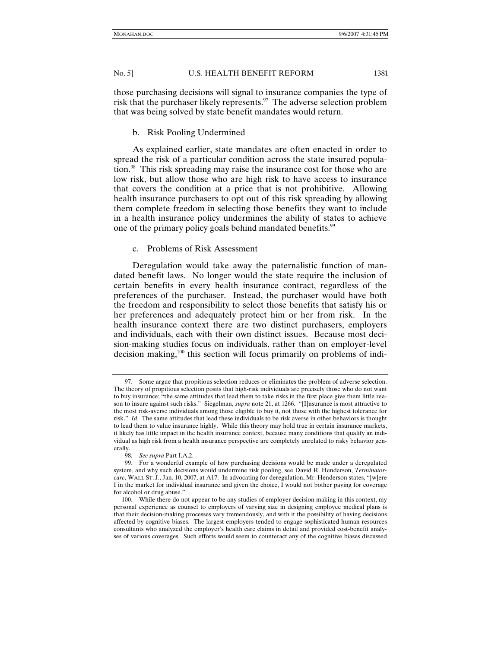those purchasing decisions will signal to insurance companies the type of risk that the purchaser likely represents.<sup>97</sup> The adverse selection problem that was being solved by state benefit mandates would return.

# b. Risk Pooling Undermined

As explained earlier, state mandates are often enacted in order to spread the risk of a particular condition across the state insured population.98 This risk spreading may raise the insurance cost for those who are low risk, but allow those who are high risk to have access to insurance that covers the condition at a price that is not prohibitive. Allowing health insurance purchasers to opt out of this risk spreading by allowing them complete freedom in selecting those benefits they want to include in a health insurance policy undermines the ability of states to achieve one of the primary policy goals behind mandated benefits.<sup>99</sup>

# c. Problems of Risk Assessment

Deregulation would take away the paternalistic function of mandated benefit laws. No longer would the state require the inclusion of certain benefits in every health insurance contract, regardless of the preferences of the purchaser. Instead, the purchaser would have both the freedom and responsibility to select those benefits that satisfy his or her preferences and adequately protect him or her from risk. In the health insurance context there are two distinct purchasers, employers and individuals, each with their own distinct issues. Because most decision-making studies focus on individuals, rather than on employer-level decision making,<sup>100</sup> this section will focus primarily on problems of indi-

 <sup>97.</sup> Some argue that propitious selection reduces or eliminates the problem of adverse selection. The theory of propitious selection posits that high-risk individuals are precisely those who do not want to buy insurance; "the same attitudes that lead them to take risks in the first place give them little reason to insure against such risks." Siegelman, *supra* note 21, at 1266. "[I]nsurance is most attractive to the most risk-averse individuals among those eligible to buy it, not those with the highest tolerance for risk." *Id*. The same attitudes that lead these individuals to be risk averse in other behaviors is thought to lead them to value insurance highly. While this theory may hold true in certain insurance markets, it likely has little impact in the health insurance context, because many conditions that qualify an individual as high risk from a health insurance perspective are completely unrelated to risky behavior generally.

<sup>98</sup>*. See supra* Part I.A.2.

 <sup>99.</sup> For a wonderful example of how purchasing decisions would be made under a deregulated system, and why such decisions would undermine risk pooling, see David R. Henderson, *Terminatorcare*, WALL ST. J., Jan. 10, 2007, at A17. In advocating for deregulation, Mr. Henderson states, "[w]ere I in the market for individual insurance and given the choice, I would not bother paying for coverage for alcohol or drug abuse."

 <sup>100.</sup> While there do not appear to be any studies of employer decision making in this context, my personal experience as counsel to employers of varying size in designing employee medical plans is that their decision-making processes vary tremendously, and with it the possibility of having decisions affected by cognitive biases. The largest employers tended to engage sophisticated human resources consultants who analyzed the employer's health care claims in detail and provided cost-benefit analyses of various coverages. Such efforts would seem to counteract any of the cognitive biases discussed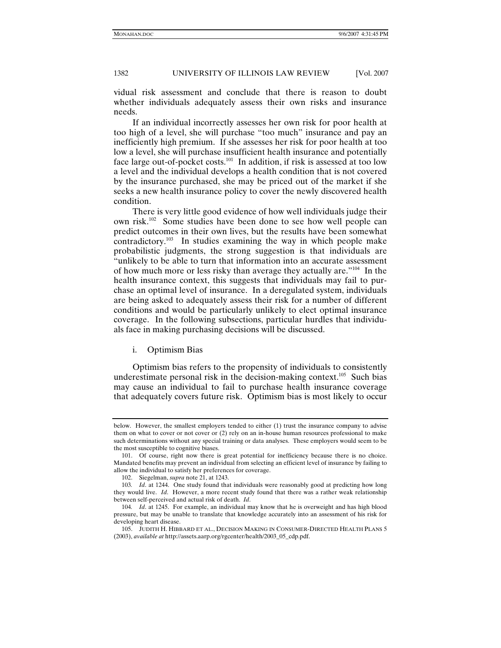vidual risk assessment and conclude that there is reason to doubt whether individuals adequately assess their own risks and insurance needs.

If an individual incorrectly assesses her own risk for poor health at too high of a level, she will purchase "too much" insurance and pay an inefficiently high premium. If she assesses her risk for poor health at too low a level, she will purchase insufficient health insurance and potentially face large out-of-pocket costs.<sup>101</sup> In addition, if risk is assessed at too low a level and the individual develops a health condition that is not covered by the insurance purchased, she may be priced out of the market if she seeks a new health insurance policy to cover the newly discovered health condition.

There is very little good evidence of how well individuals judge their own risk.102 Some studies have been done to see how well people can predict outcomes in their own lives, but the results have been somewhat  $contradictory.<sup>103</sup>$  In studies examining the way in which people make probabilistic judgments, the strong suggestion is that individuals are "unlikely to be able to turn that information into an accurate assessment of how much more or less risky than average they actually are."104 In the health insurance context, this suggests that individuals may fail to purchase an optimal level of insurance. In a deregulated system, individuals are being asked to adequately assess their risk for a number of different conditions and would be particularly unlikely to elect optimal insurance coverage. In the following subsections, particular hurdles that individuals face in making purchasing decisions will be discussed.

# i. Optimism Bias

Optimism bias refers to the propensity of individuals to consistently underestimate personal risk in the decision-making context.<sup>105</sup> Such bias may cause an individual to fail to purchase health insurance coverage that adequately covers future risk. Optimism bias is most likely to occur

below. However, the smallest employers tended to either (1) trust the insurance company to advise them on what to cover or not cover or (2) rely on an in-house human resources professional to make such determinations without any special training or data analyses. These employers would seem to be the most susceptible to cognitive biases.

 <sup>101.</sup> Of course, right now there is great potential for inefficiency because there is no choice. Mandated benefits may prevent an individual from selecting an efficient level of insurance by failing to allow the individual to satisfy her preferences for coverage.

 <sup>102.</sup> Siegelman, *supra* note 21, at 1243.

<sup>103</sup>*. Id*. at 1244. One study found that individuals were reasonably good at predicting how long they would live. *Id*. However, a more recent study found that there was a rather weak relationship between self-perceived and actual risk of death. *Id*.

<sup>104</sup>*. Id*. at 1245. For example, an individual may know that he is overweight and has high blood pressure, but may be unable to translate that knowledge accurately into an assessment of his risk for developing heart disease.

 <sup>105.</sup> JUDITH H. HIBBARD ET AL., DECISION MAKING IN CONSUMER-DIRECTED HEALTH PLANS 5 (2003), *available at* http://assets.aarp.org/rgcenter/health/2003\_05\_cdp.pdf.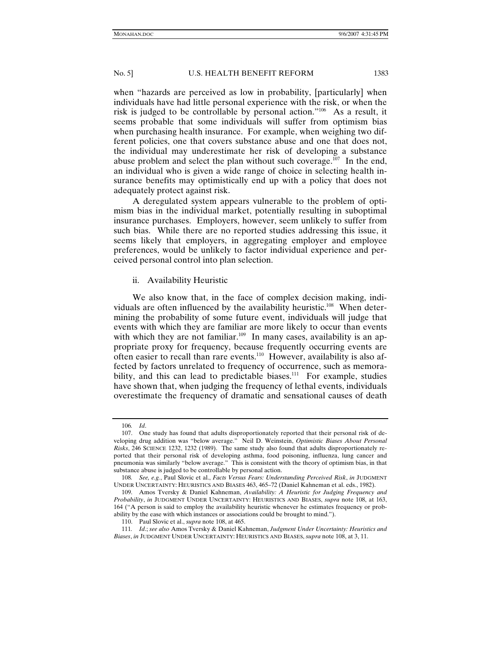when "hazards are perceived as low in probability, [particularly] when individuals have had little personal experience with the risk, or when the risk is judged to be controllable by personal action."106 As a result, it seems probable that some individuals will suffer from optimism bias when purchasing health insurance. For example, when weighing two different policies, one that covers substance abuse and one that does not, the individual may underestimate her risk of developing a substance abuse problem and select the plan without such coverage.<sup>107</sup> In the end, an individual who is given a wide range of choice in selecting health insurance benefits may optimistically end up with a policy that does not adequately protect against risk.

A deregulated system appears vulnerable to the problem of optimism bias in the individual market, potentially resulting in suboptimal insurance purchases. Employers, however, seem unlikely to suffer from such bias. While there are no reported studies addressing this issue, it seems likely that employers, in aggregating employer and employee preferences, would be unlikely to factor individual experience and perceived personal control into plan selection.

#### ii. Availability Heuristic

We also know that, in the face of complex decision making, individuals are often influenced by the availability heuristic.<sup>108</sup> When determining the probability of some future event, individuals will judge that events with which they are familiar are more likely to occur than events with which they are not familiar.<sup>109</sup> In many cases, availability is an appropriate proxy for frequency, because frequently occurring events are often easier to recall than rare events.110 However, availability is also affected by factors unrelated to frequency of occurrence, such as memorability, and this can lead to predictable biases.<sup>111</sup> For example, studies have shown that, when judging the frequency of lethal events, individuals overestimate the frequency of dramatic and sensational causes of death

<sup>106</sup>*. Id*.

 <sup>107.</sup> One study has found that adults disproportionately reported that their personal risk of developing drug addition was "below average." Neil D. Weinstein, *Optimistic Biases About Personal Risks*, 246 SCIENCE 1232, 1232 (1989). The same study also found that adults disproportionately reported that their personal risk of developing asthma, food poisoning, influenza, lung cancer and pneumonia was similarly "below average." This is consistent with the theory of optimism bias, in that substance abuse is judged to be controllable by personal action.

<sup>108</sup>*. See, e.g.*, Paul Slovic et al., *Facts Versus Fears: Understanding Perceived Risk*, *in* JUDGMENT UNDER UNCERTAINTY: HEURISTICS AND BIASES 463, 465–72 (Daniel Kahneman et al. eds., 1982).

 <sup>109.</sup> Amos Tversky & Daniel Kahneman, *Availability: A Heuristic for Judging Frequency and Probability*, *in* JUDGMENT UNDER UNCERTAINTY: HEURISTICS AND BIASES, *supra* note 108, at 163, 164 ("A person is said to employ the availability heuristic whenever he estimates frequency or probability by the ease with which instances or associations could be brought to mind.").

 <sup>110.</sup> Paul Slovic et al., *supra* note 108, at 465.

<sup>111</sup>*. Id*.; *see also* Amos Tversky & Daniel Kahneman, *Judgment Under Uncertainty: Heuristics and Biases*, *in* JUDGMENT UNDER UNCERTAINTY: HEURISTICS AND BIASES, *supra* note 108, at 3, 11.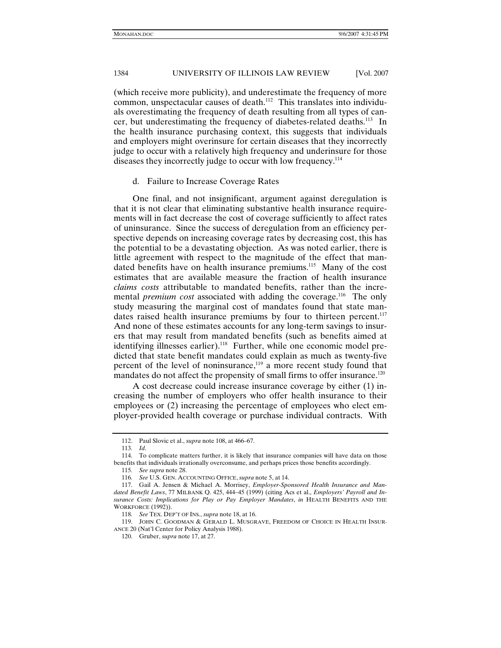(which receive more publicity), and underestimate the frequency of more common, unspectacular causes of death.<sup>112</sup> This translates into individuals overestimating the frequency of death resulting from all types of cancer, but underestimating the frequency of diabetes-related deaths.113 In the health insurance purchasing context, this suggests that individuals and employers might overinsure for certain diseases that they incorrectly judge to occur with a relatively high frequency and underinsure for those diseases they incorrectly judge to occur with low frequency.<sup>114</sup>

#### d. Failure to Increase Coverage Rates

One final, and not insignificant, argument against deregulation is that it is not clear that eliminating substantive health insurance requirements will in fact decrease the cost of coverage sufficiently to affect rates of uninsurance. Since the success of deregulation from an efficiency perspective depends on increasing coverage rates by decreasing cost, this has the potential to be a devastating objection. As was noted earlier, there is little agreement with respect to the magnitude of the effect that mandated benefits have on health insurance premiums.<sup>115</sup> Many of the cost estimates that are available measure the fraction of health insurance *claims costs* attributable to mandated benefits, rather than the incremental *premium cost* associated with adding the coverage.<sup>116</sup> The only study measuring the marginal cost of mandates found that state mandates raised health insurance premiums by four to thirteen percent. $117$ And none of these estimates accounts for any long-term savings to insurers that may result from mandated benefits (such as benefits aimed at identifying illnesses earlier).<sup>118</sup> Further, while one economic model predicted that state benefit mandates could explain as much as twenty-five percent of the level of noninsurance, $119$  a more recent study found that mandates do not affect the propensity of small firms to offer insurance.<sup>120</sup>

A cost decrease could increase insurance coverage by either (1) increasing the number of employers who offer health insurance to their employees or (2) increasing the percentage of employees who elect employer-provided health coverage or purchase individual contracts. With

 <sup>112.</sup> Paul Slovic et al., *supra* note 108, at 466–67.

<sup>113</sup>*. Id*.

 <sup>114.</sup> To complicate matters further, it is likely that insurance companies will have data on those benefits that individuals irrationally overconsume, and perhaps prices those benefits accordingly.

<sup>115</sup>*. See supra* note 28.

<sup>116</sup>*. See* U.S. GEN. ACCOUNTING OFFICE, *supra* note 5, at 14.

 <sup>117.</sup> Gail A. Jensen & Michael A. Morrisey, *Employer-Sponsored Health Insurance and Mandated Benefit Laws*, 77 MILBANK Q. 425, 444–45 (1999) (citing Acs et al., *Employers' Payroll and Insurance Costs: Implications for Play or Pay Employer Mandates*, *in* HEALTH BENEFITS AND THE WORKFORCE (1992)).

<sup>118</sup>*. See* TEX. DEP'T OF INS., *supra* note 18, at 16.

 <sup>119.</sup> JOHN C. GOODMAN & GERALD L. MUSGRAVE, FREEDOM OF CHOICE IN HEALTH INSUR-ANCE 20 (Nat'l Center for Policy Analysis 1988).

 <sup>120.</sup> Gruber, *supra* note 17, at 27.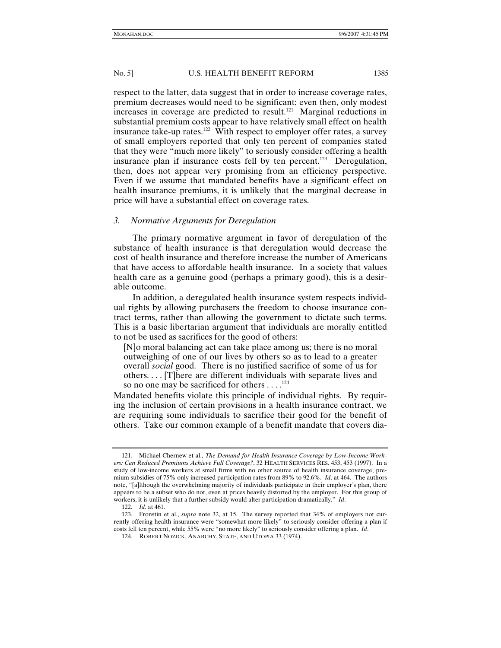respect to the latter, data suggest that in order to increase coverage rates, premium decreases would need to be significant; even then, only modest increases in coverage are predicted to result.<sup>121</sup> Marginal reductions in substantial premium costs appear to have relatively small effect on health insurance take-up rates.<sup>122</sup> With respect to employer offer rates, a survey of small employers reported that only ten percent of companies stated that they were "much more likely" to seriously consider offering a health insurance plan if insurance costs fell by ten percent.<sup>123</sup> Deregulation, then, does not appear very promising from an efficiency perspective. Even if we assume that mandated benefits have a significant effect on health insurance premiums, it is unlikely that the marginal decrease in price will have a substantial effect on coverage rates.

# *3. Normative Arguments for Deregulation*

The primary normative argument in favor of deregulation of the substance of health insurance is that deregulation would decrease the cost of health insurance and therefore increase the number of Americans that have access to affordable health insurance. In a society that values health care as a genuine good (perhaps a primary good), this is a desirable outcome.

In addition, a deregulated health insurance system respects individual rights by allowing purchasers the freedom to choose insurance contract terms, rather than allowing the government to dictate such terms. This is a basic libertarian argument that individuals are morally entitled to not be used as sacrifices for the good of others:

[N]o moral balancing act can take place among us; there is no moral outweighing of one of our lives by others so as to lead to a greater overall *social* good. There is no justified sacrifice of some of us for others. . . . [T]here are different individuals with separate lives and so no one may be sacrificed for others  $\dots$ .<sup>124</sup>

Mandated benefits violate this principle of individual rights. By requiring the inclusion of certain provisions in a health insurance contract, we are requiring some individuals to sacrifice their good for the benefit of others. Take our common example of a benefit mandate that covers dia-

 <sup>121.</sup> Michael Chernew et al., *The Demand for Health Insurance Coverage by Low-Income Workers: Can Reduced Premiums Achieve Full Coverage?*, 32 HEALTH SERVICES RES. 453, 453 (1997). In a study of low-income workers at small firms with no other source of health insurance coverage, premium subsidies of 75% only increased participation rates from 89% to 92.6%. *Id*. at 464. The authors note, "[a]lthough the overwhelming majority of individuals participate in their employer's plan, there appears to be a subset who do not, even at prices heavily distorted by the employer. For this group of workers, it is unlikely that a further subsidy would alter participation dramatically." *Id*.

<sup>122</sup>*. Id*. at 461.

 <sup>123.</sup> Fronstin et al., *supra* note 32, at 15. The survey reported that 34% of employers not currently offering health insurance were "somewhat more likely" to seriously consider offering a plan if costs fell ten percent, while 55% were "no more likely" to seriously consider offering a plan. *Id*.

 <sup>124.</sup> ROBERT NOZICK, ANARCHY, STATE, AND UTOPIA 33 (1974).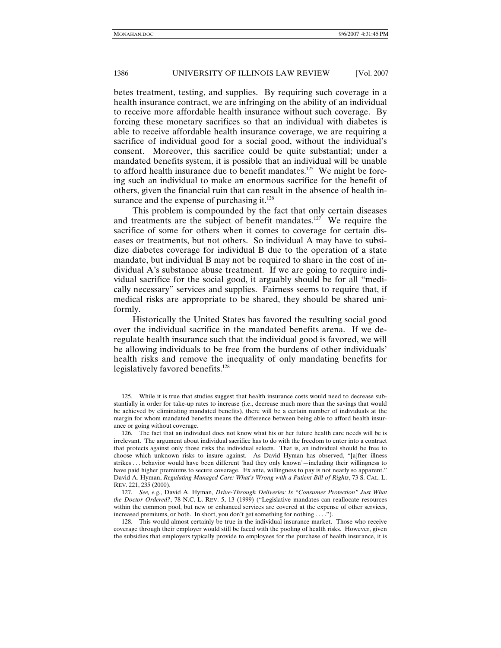betes treatment, testing, and supplies. By requiring such coverage in a health insurance contract, we are infringing on the ability of an individual to receive more affordable health insurance without such coverage. By forcing these monetary sacrifices so that an individual with diabetes is able to receive affordable health insurance coverage, we are requiring a sacrifice of individual good for a social good, without the individual's consent. Moreover, this sacrifice could be quite substantial; under a mandated benefits system, it is possible that an individual will be unable to afford health insurance due to benefit mandates.<sup>125</sup> We might be forcing such an individual to make an enormous sacrifice for the benefit of others, given the financial ruin that can result in the absence of health insurance and the expense of purchasing it. $126$ 

This problem is compounded by the fact that only certain diseases and treatments are the subject of benefit mandates.<sup>127</sup> We require the sacrifice of some for others when it comes to coverage for certain diseases or treatments, but not others. So individual A may have to subsidize diabetes coverage for individual B due to the operation of a state mandate, but individual B may not be required to share in the cost of individual A's substance abuse treatment. If we are going to require individual sacrifice for the social good, it arguably should be for all "medically necessary" services and supplies. Fairness seems to require that, if medical risks are appropriate to be shared, they should be shared uniformly.

Historically the United States has favored the resulting social good over the individual sacrifice in the mandated benefits arena. If we deregulate health insurance such that the individual good is favored, we will be allowing individuals to be free from the burdens of other individuals' health risks and remove the inequality of only mandating benefits for legislatively favored benefits.<sup>128</sup>

 <sup>125.</sup> While it is true that studies suggest that health insurance costs would need to decrease substantially in order for take-up rates to increase (i.e., decrease much more than the savings that would be achieved by eliminating mandated benefits), there will be a certain number of individuals at the margin for whom mandated benefits means the difference between being able to afford health insurance or going without coverage.

 <sup>126.</sup> The fact that an individual does not know what his or her future health care needs will be is irrelevant. The argument about individual sacrifice has to do with the freedom to enter into a contract that protects against only those risks the individual selects. That is, an individual should be free to choose which unknown risks to insure against. As David Hyman has observed, "[a]fter illness strikes . . . behavior would have been different 'had they only known'—including their willingness to have paid higher premiums to secure coverage. Ex ante, willingness to pay is not nearly so apparent." David A. Hyman, *Regulating Managed Care: What's Wrong with a Patient Bill of Rights*, 73 S. CAL. L. REV. 221, 235 (2000).

<sup>127</sup>*. See, e.g.*, David A. Hyman, *Drive-Through Deliveries: Is "Consumer Protection" Just What the Doctor Ordered?*, 78 N.C. L. REV. 5, 13 (1999) ("Legislative mandates can reallocate resources within the common pool, but new or enhanced services are covered at the expense of other services, increased premiums, or both. In short, you don't get something for nothing . . . .").

 <sup>128.</sup> This would almost certainly be true in the individual insurance market. Those who receive coverage through their employer would still be faced with the pooling of health risks. However, given the subsidies that employers typically provide to employees for the purchase of health insurance, it is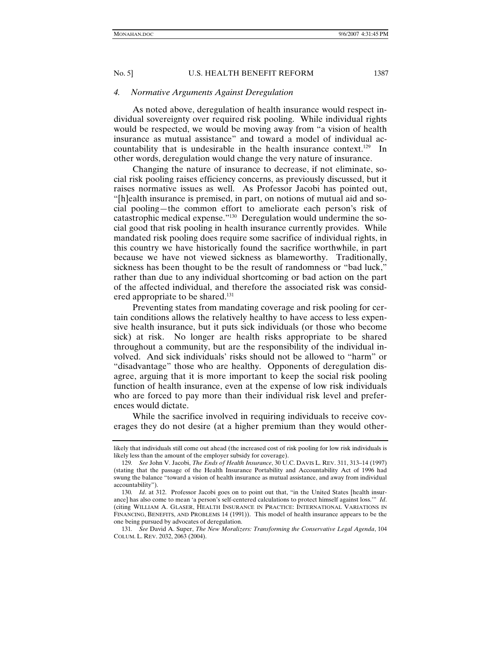#### *4. Normative Arguments Against Deregulation*

As noted above, deregulation of health insurance would respect individual sovereignty over required risk pooling. While individual rights would be respected, we would be moving away from "a vision of health insurance as mutual assistance" and toward a model of individual accountability that is undesirable in the health insurance context.129 In other words, deregulation would change the very nature of insurance.

Changing the nature of insurance to decrease, if not eliminate, social risk pooling raises efficiency concerns, as previously discussed, but it raises normative issues as well. As Professor Jacobi has pointed out, "[h]ealth insurance is premised, in part, on notions of mutual aid and social pooling—the common effort to ameliorate each person's risk of catastrophic medical expense."130 Deregulation would undermine the social good that risk pooling in health insurance currently provides. While mandated risk pooling does require some sacrifice of individual rights, in this country we have historically found the sacrifice worthwhile, in part because we have not viewed sickness as blameworthy. Traditionally, sickness has been thought to be the result of randomness or "bad luck," rather than due to any individual shortcoming or bad action on the part of the affected individual, and therefore the associated risk was considered appropriate to be shared.<sup>131</sup>

Preventing states from mandating coverage and risk pooling for certain conditions allows the relatively healthy to have access to less expensive health insurance, but it puts sick individuals (or those who become sick) at risk. No longer are health risks appropriate to be shared throughout a community, but are the responsibility of the individual involved. And sick individuals' risks should not be allowed to "harm" or "disadvantage" those who are healthy. Opponents of deregulation disagree, arguing that it is more important to keep the social risk pooling function of health insurance, even at the expense of low risk individuals who are forced to pay more than their individual risk level and preferences would dictate.

While the sacrifice involved in requiring individuals to receive coverages they do not desire (at a higher premium than they would other-

likely that individuals still come out ahead (the increased cost of risk pooling for low risk individuals is likely less than the amount of the employer subsidy for coverage).

<sup>129</sup>*. See* John V. Jacobi, *The Ends of Health Insurance*, 30 U.C. DAVIS L. REV. 311, 313–14 (1997) (stating that the passage of the Health Insurance Portability and Accountability Act of 1996 had swung the balance "toward a vision of health insurance as mutual assistance, and away from individual accountability").

<sup>130</sup>*. Id*. at 312. Professor Jacobi goes on to point out that, "in the United States [health insurance] has also come to mean 'a person's self-centered calculations to protect himself against loss.'" *Id*. (citing WILLIAM A. GLASER, HEALTH INSURANCE IN PRACTICE: INTERNATIONAL VARIATIONS IN FINANCING, BENEFITS, AND PROBLEMS 14 (1991)). This model of health insurance appears to be the one being pursued by advocates of deregulation.

<sup>131</sup>*. See* David A. Super, *The New Moralizers: Transforming the Conservative Legal Agenda*, 104 COLUM. L. REV. 2032, 2063 (2004).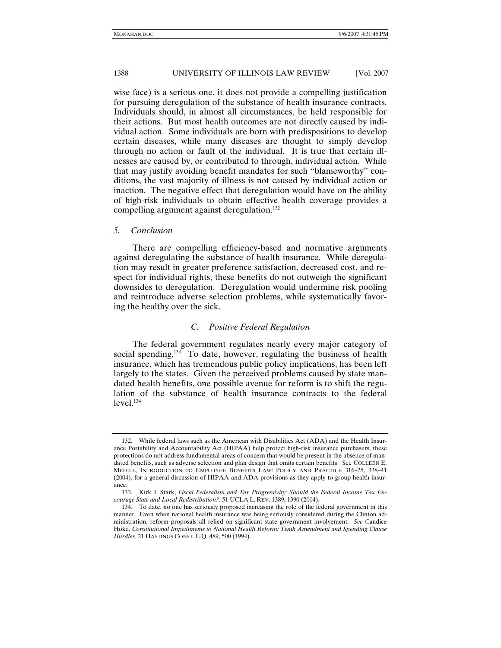wise face) is a serious one, it does not provide a compelling justification for pursuing deregulation of the substance of health insurance contracts. Individuals should, in almost all circumstances, be held responsible for their actions. But most health outcomes are not directly caused by individual action. Some individuals are born with predispositions to develop certain diseases, while many diseases are thought to simply develop through no action or fault of the individual. It is true that certain illnesses are caused by, or contributed to through, individual action. While that may justify avoiding benefit mandates for such "blameworthy" conditions, the vast majority of illness is not caused by individual action or inaction. The negative effect that deregulation would have on the ability of high-risk individuals to obtain effective health coverage provides a compelling argument against deregulation.<sup>132</sup>

#### *5. Conclusion*

There are compelling efficiency-based and normative arguments against deregulating the substance of health insurance. While deregulation may result in greater preference satisfaction, decreased cost, and respect for individual rights, these benefits do not outweigh the significant downsides to deregulation. Deregulation would undermine risk pooling and reintroduce adverse selection problems, while systematically favoring the healthy over the sick.

#### *C. Positive Federal Regulation*

The federal government regulates nearly every major category of social spending.<sup>133</sup> To date, however, regulating the business of health insurance, which has tremendous public policy implications, has been left largely to the states. Given the perceived problems caused by state mandated health benefits, one possible avenue for reform is to shift the regulation of the substance of health insurance contracts to the federal level.<sup>134</sup>

 <sup>132.</sup> While federal laws such as the American with Disabilities Act (ADA) and the Health Insurance Portability and Accountability Act (HIPAA) help protect high-risk insurance purchasers, these protections do not address fundamental areas of concern that would be present in the absence of mandated benefits, such as adverse selection and plan design that omits certain benefits. See COLLEEN E. MEDILL, INTRODUCTION TO EMPLOYEE BENEFITS LAW: POLICY AND PRACTICE 316–25, 338–41 (2004), for a general discussion of HIPAA and ADA provisions as they apply to group health insurance.

 <sup>133.</sup> Kirk J. Stark, *Fiscal Federalism and Tax Progressivity: Should the Federal Income Tax Encourage State and Local Redistribution?*, 51 UCLA L. REV. 1389, 1390 (2004).

 <sup>134.</sup> To date, no one has seriously proposed increasing the role of the federal government in this manner. Even when national health insurance was being seriously considered during the Clinton administration, reform proposals all relied on significant state government involvement. *See* Candice Hoke, *Constitutional Impediments to National Health Reform: Tenth Amendment and Spending Clause Hurdles*, 21 HASTINGS CONST. L.Q. 489, 500 (1994).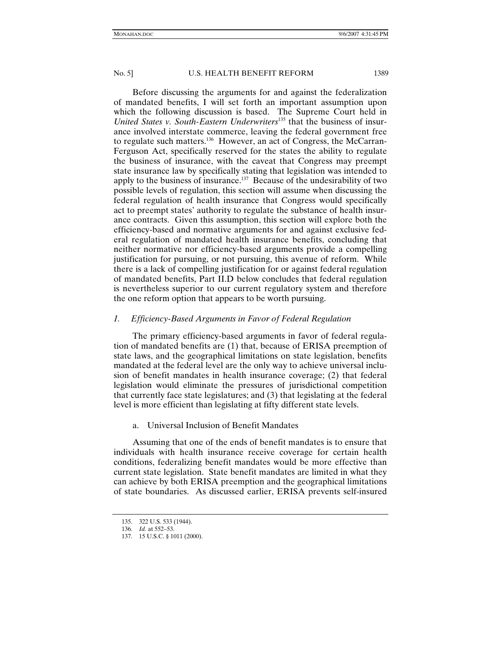Before discussing the arguments for and against the federalization of mandated benefits, I will set forth an important assumption upon which the following discussion is based. The Supreme Court held in *United States v. South-Eastern Underwriters*135 that the business of insurance involved interstate commerce, leaving the federal government free to regulate such matters.136 However, an act of Congress, the McCarran-Ferguson Act, specifically reserved for the states the ability to regulate the business of insurance, with the caveat that Congress may preempt state insurance law by specifically stating that legislation was intended to apply to the business of insurance.137 Because of the undesirability of two possible levels of regulation, this section will assume when discussing the federal regulation of health insurance that Congress would specifically act to preempt states' authority to regulate the substance of health insurance contracts. Given this assumption, this section will explore both the efficiency-based and normative arguments for and against exclusive federal regulation of mandated health insurance benefits, concluding that neither normative nor efficiency-based arguments provide a compelling justification for pursuing, or not pursuing, this avenue of reform. While there is a lack of compelling justification for or against federal regulation of mandated benefits, Part II.D below concludes that federal regulation is nevertheless superior to our current regulatory system and therefore the one reform option that appears to be worth pursuing.

# *1. Efficiency-Based Arguments in Favor of Federal Regulation*

The primary efficiency-based arguments in favor of federal regulation of mandated benefits are (1) that, because of ERISA preemption of state laws, and the geographical limitations on state legislation, benefits mandated at the federal level are the only way to achieve universal inclusion of benefit mandates in health insurance coverage; (2) that federal legislation would eliminate the pressures of jurisdictional competition that currently face state legislatures; and (3) that legislating at the federal level is more efficient than legislating at fifty different state levels.

a. Universal Inclusion of Benefit Mandates

Assuming that one of the ends of benefit mandates is to ensure that individuals with health insurance receive coverage for certain health conditions, federalizing benefit mandates would be more effective than current state legislation. State benefit mandates are limited in what they can achieve by both ERISA preemption and the geographical limitations of state boundaries. As discussed earlier, ERISA prevents self-insured

 <sup>135. 322</sup> U.S. 533 (1944).

<sup>136</sup>*. Id.* at 552–53.

 <sup>137. 15</sup> U.S.C. § 1011 (2000).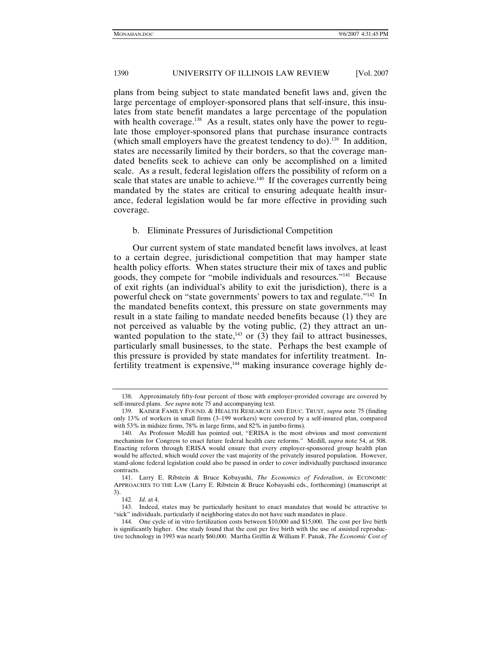plans from being subject to state mandated benefit laws and, given the large percentage of employer-sponsored plans that self-insure, this insulates from state benefit mandates a large percentage of the population with health coverage.<sup>138</sup> As a result, states only have the power to regulate those employer-sponsored plans that purchase insurance contracts (which small employers have the greatest tendency to do).<sup>139</sup> In addition, states are necessarily limited by their borders, so that the coverage mandated benefits seek to achieve can only be accomplished on a limited scale. As a result, federal legislation offers the possibility of reform on a scale that states are unable to achieve.<sup>140</sup> If the coverages currently being mandated by the states are critical to ensuring adequate health insurance, federal legislation would be far more effective in providing such coverage.

### b. Eliminate Pressures of Jurisdictional Competition

Our current system of state mandated benefit laws involves, at least to a certain degree, jurisdictional competition that may hamper state health policy efforts. When states structure their mix of taxes and public goods, they compete for "mobile individuals and resources."141 Because of exit rights (an individual's ability to exit the jurisdiction), there is a powerful check on "state governments' powers to tax and regulate."142 In the mandated benefits context, this pressure on state governments may result in a state failing to mandate needed benefits because (1) they are not perceived as valuable by the voting public, (2) they attract an unwanted population to the state,<sup> $143$ </sup> or (3) they fail to attract businesses, particularly small businesses, to the state. Perhaps the best example of this pressure is provided by state mandates for infertility treatment. Infertility treatment is expensive, $144$  making insurance coverage highly de-

 <sup>138.</sup> Approximately fifty-four percent of those with employer-provided coverage are covered by self-insured plans. *See supra* note 75 and accompanying text.

 <sup>139.</sup> KAISER FAMILY FOUND. & HEALTH RESEARCH AND EDUC. TRUST, *supra* note 75 (finding only 13% of workers in small firms (3–199 workers) were covered by a self-insured plan, compared with 53% in midsize firms, 78% in large firms, and 82% in jumbo firms).

 <sup>140.</sup> As Professor Medill has pointed out, "ERISA is the most obvious and most convenient mechanism for Congress to enact future federal health care reforms." Medill, *supra* note 54, at 508. Enacting reform through ERISA would ensure that every employer-sponsored group health plan would be affected, which would cover the vast majority of the privately insured population. However, stand-alone federal legislation could also be passed in order to cover individually purchased insurance contracts.

 <sup>141.</sup> Larry E. Ribstein & Bruce Kobayashi, *The Economics of Federalism*, *in* ECONOMIC APPROACHES TO THE LAW (Larry E. Ribstein & Bruce Kobayashi eds., forthcoming) (manuscript at  $^{3)}$ . 142.

*Id.* at 4.

 <sup>143.</sup> Indeed, states may be particularly hesitant to enact mandates that would be attractive to "sick" individuals, particularly if neighboring states do not have such mandates in place.

 <sup>144.</sup> One cycle of in vitro fertilization costs between \$10,000 and \$15,000. The cost per live birth is significantly higher. One study found that the cost per live birth with the use of assisted reproductive technology in 1993 was nearly \$60,000. Martha Griffin & William F. Panak, *The Economic Cost of*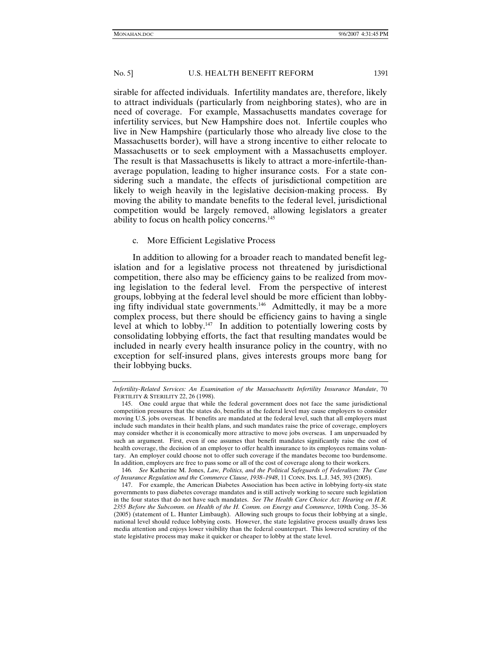sirable for affected individuals. Infertility mandates are, therefore, likely to attract individuals (particularly from neighboring states), who are in need of coverage. For example, Massachusetts mandates coverage for infertility services, but New Hampshire does not. Infertile couples who live in New Hampshire (particularly those who already live close to the Massachusetts border), will have a strong incentive to either relocate to Massachusetts or to seek employment with a Massachusetts employer. The result is that Massachusetts is likely to attract a more-infertile-thanaverage population, leading to higher insurance costs. For a state considering such a mandate, the effects of jurisdictional competition are likely to weigh heavily in the legislative decision-making process. By moving the ability to mandate benefits to the federal level, jurisdictional competition would be largely removed, allowing legislators a greater ability to focus on health policy concerns.<sup>145</sup>

# c. More Efficient Legislative Process

In addition to allowing for a broader reach to mandated benefit legislation and for a legislative process not threatened by jurisdictional competition, there also may be efficiency gains to be realized from moving legislation to the federal level. From the perspective of interest groups, lobbying at the federal level should be more efficient than lobbying fifty individual state governments.<sup>146</sup> Admittedly, it may be a more complex process, but there should be efficiency gains to having a single level at which to lobby.<sup>147</sup> In addition to potentially lowering costs by consolidating lobbying efforts, the fact that resulting mandates would be included in nearly every health insurance policy in the country, with no exception for self-insured plans, gives interests groups more bang for their lobbying bucks.

*Infertility-Related Services: An Examination of the Massachusetts Infertility Insurance Mandate*, 70 FERTILITY & STERILITY 22, 26 (1998).

 <sup>145.</sup> One could argue that while the federal government does not face the same jurisdictional competition pressures that the states do, benefits at the federal level may cause employers to consider moving U.S. jobs overseas. If benefits are mandated at the federal level, such that all employers must include such mandates in their health plans, and such mandates raise the price of coverage, employers may consider whether it is economically more attractive to move jobs overseas. I am unpersuaded by such an argument. First, even if one assumes that benefit mandates significantly raise the cost of health coverage, the decision of an employer to offer health insurance to its employees remains voluntary. An employer could choose not to offer such coverage if the mandates become too burdensome. In addition, employers are free to pass some or all of the cost of coverage along to their workers.

<sup>146</sup>*. See* Katherine M. Jones, *Law, Politics, and the Political Safeguards of Federalism: The Case of Insurance Regulation and the Commerce Clause, 1938–1948*, 11 CONN. INS. L.J. 345, 393 (2005).

 <sup>147.</sup> For example, the American Diabetes Association has been active in lobbying forty-six state governments to pass diabetes coverage mandates and is still actively working to secure such legislation in the four states that do not have such mandates. *See The Health Care Choice Act: Hearing on H.R. 2355 Before the Subcomm. on Health of the H. Comm. on Energy and Commerce*, 109th Cong. 35–36 (2005) (statement of L. Hunter Limbaugh). Allowing such groups to focus their lobbying at a single, national level should reduce lobbying costs. However, the state legislative process usually draws less media attention and enjoys lower visibility than the federal counterpart. This lowered scrutiny of the state legislative process may make it quicker or cheaper to lobby at the state level.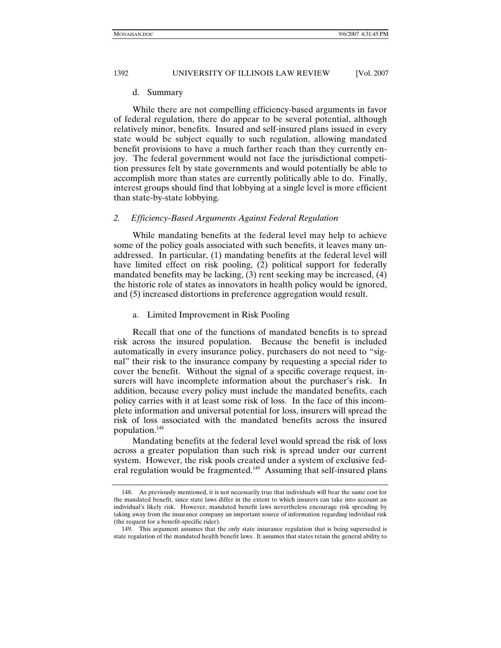#### d. Summary

While there are not compelling efficiency-based arguments in favor of federal regulation, there do appear to be several potential, although relatively minor, benefits. Insured and self-insured plans issued in every state would be subject equally to such regulation, allowing mandated benefit provisions to have a much farther reach than they currently enjoy. The federal government would not face the jurisdictional competition pressures felt by state governments and would potentially be able to accomplish more than states are currently politically able to do. Finally, interest groups should find that lobbying at a single level is more efficient than state-by-state lobbying.

#### *2. Efficiency-Based Arguments Against Federal Regulation*

While mandating benefits at the federal level may help to achieve some of the policy goals associated with such benefits, it leaves many unaddressed. In particular, (1) mandating benefits at the federal level will have limited effect on risk pooling, (2) political support for federally mandated benefits may be lacking, (3) rent seeking may be increased, (4) the historic role of states as innovators in health policy would be ignored, and (5) increased distortions in preference aggregation would result.

#### a. Limited Improvement in Risk Pooling

Recall that one of the functions of mandated benefits is to spread risk across the insured population. Because the benefit is included automatically in every insurance policy, purchasers do not need to "signal" their risk to the insurance company by requesting a special rider to cover the benefit. Without the signal of a specific coverage request, insurers will have incomplete information about the purchaser's risk. In addition, because every policy must include the mandated benefits, each policy carries with it at least some risk of loss. In the face of this incomplete information and universal potential for loss, insurers will spread the risk of loss associated with the mandated benefits across the insured population.148

Mandating benefits at the federal level would spread the risk of loss across a greater population than such risk is spread under our current system. However, the risk pools created under a system of exclusive federal regulation would be fragmented.<sup>149</sup> Assuming that self-insured plans

 <sup>148.</sup> As previously mentioned, it is not necessarily true that individuals will bear the same cost for the mandated benefit, since state laws differ in the extent to which insurers can take into account an individual's likely risk. However, mandated benefit laws nevertheless encourage risk spreading by taking away from the insurance company an important source of information regarding individual risk (the request for a benefit-specific rider).

 <sup>149.</sup> This argument assumes that the only state insurance regulation that is being superseded is state regulation of the mandated health benefit laws. It assumes that states retain the general ability to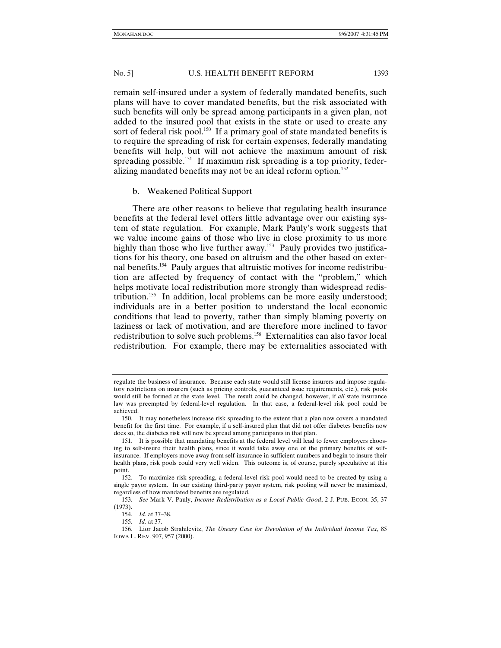remain self-insured under a system of federally mandated benefits, such plans will have to cover mandated benefits, but the risk associated with such benefits will only be spread among participants in a given plan, not added to the insured pool that exists in the state or used to create any sort of federal risk pool.<sup>150</sup> If a primary goal of state mandated benefits is to require the spreading of risk for certain expenses, federally mandating benefits will help, but will not achieve the maximum amount of risk spreading possible.<sup>151</sup> If maximum risk spreading is a top priority, federalizing mandated benefits may not be an ideal reform option.<sup>152</sup>

### b. Weakened Political Support

There are other reasons to believe that regulating health insurance benefits at the federal level offers little advantage over our existing system of state regulation. For example, Mark Pauly's work suggests that we value income gains of those who live in close proximity to us more highly than those who live further away.<sup>153</sup> Pauly provides two justifications for his theory, one based on altruism and the other based on external benefits.154 Pauly argues that altruistic motives for income redistribution are affected by frequency of contact with the "problem," which helps motivate local redistribution more strongly than widespread redistribution.<sup>155</sup> In addition, local problems can be more easily understood; individuals are in a better position to understand the local economic conditions that lead to poverty, rather than simply blaming poverty on laziness or lack of motivation, and are therefore more inclined to favor redistribution to solve such problems.156 Externalities can also favor local redistribution. For example, there may be externalities associated with

regulate the business of insurance. Because each state would still license insurers and impose regulatory restrictions on insurers (such as pricing controls, guaranteed issue requirements, etc.), risk pools would still be formed at the state level. The result could be changed, however, if *all* state insurance law was preempted by federal-level regulation. In that case, a federal-level risk pool could be achieved.

 <sup>150.</sup> It may nonetheless increase risk spreading to the extent that a plan now covers a mandated benefit for the first time. For example, if a self-insured plan that did not offer diabetes benefits now does so, the diabetes risk will now be spread among participants in that plan.

 <sup>151.</sup> It is possible that mandating benefits at the federal level will lead to fewer employers choosing to self-insure their health plans, since it would take away one of the primary benefits of selfinsurance. If employers move away from self-insurance in sufficient numbers and begin to insure their health plans, risk pools could very well widen. This outcome is, of course, purely speculative at this point.

 <sup>152.</sup> To maximize risk spreading, a federal-level risk pool would need to be created by using a single payor system. In our existing third-party payor system, risk pooling will never be maximized, regardless of how mandated benefits are regulated.

<sup>153</sup>*. See* Mark V. Pauly, *Income Redistribution as a Local Public Good*, 2 J. PUB. ECON. 35, 37 (1973).

<sup>154</sup>*. Id*. at 37–38.

<sup>155</sup>*. Id*. at 37.

 <sup>156.</sup> Lior Jacob Strahilevitz, *The Uneasy Case for Devolution of the Individual Income Tax*, 85 IOWA L. REV. 907, 957 (2000).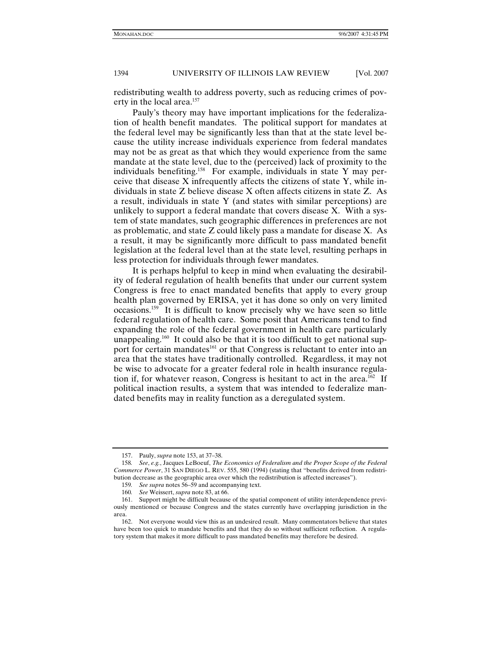redistributing wealth to address poverty, such as reducing crimes of poverty in the local area.<sup>157</sup>

Pauly's theory may have important implications for the federalization of health benefit mandates. The political support for mandates at the federal level may be significantly less than that at the state level because the utility increase individuals experience from federal mandates may not be as great as that which they would experience from the same mandate at the state level, due to the (perceived) lack of proximity to the individuals benefiting.158 For example, individuals in state Y may perceive that disease X infrequently affects the citizens of state Y, while individuals in state Z believe disease X often affects citizens in state Z. As a result, individuals in state Y (and states with similar perceptions) are unlikely to support a federal mandate that covers disease X. With a system of state mandates, such geographic differences in preferences are not as problematic, and state Z could likely pass a mandate for disease X. As a result, it may be significantly more difficult to pass mandated benefit legislation at the federal level than at the state level, resulting perhaps in less protection for individuals through fewer mandates.

It is perhaps helpful to keep in mind when evaluating the desirability of federal regulation of health benefits that under our current system Congress is free to enact mandated benefits that apply to every group health plan governed by ERISA, yet it has done so only on very limited occasions.159 It is difficult to know precisely why we have seen so little federal regulation of health care. Some posit that Americans tend to find expanding the role of the federal government in health care particularly unappealing.<sup>160</sup> It could also be that it is too difficult to get national support for certain mandates<sup>161</sup> or that Congress is reluctant to enter into an area that the states have traditionally controlled. Regardless, it may not be wise to advocate for a greater federal role in health insurance regulation if, for whatever reason, Congress is hesitant to act in the area.<sup>162</sup> If political inaction results, a system that was intended to federalize mandated benefits may in reality function as a deregulated system.

 <sup>157.</sup> Pauly, *supra* note 153, at 37–38.

<sup>158</sup>*. See*, *e.g.*, Jacques LeBoeuf, *The Economics of Federalism and the Proper Scope of the Federal Commerce Power*, 31 SAN DIEGO L. REV. 555, 580 (1994) (stating that "benefits derived from redistribution decrease as the geographic area over which the redistribution is affected increases").

<sup>159</sup>*. See supra* notes 56–59 and accompanying text.

<sup>160</sup>*. See* Weissert, *supra* note 83, at 66.

 <sup>161.</sup> Support might be difficult because of the spatial component of utility interdependence previously mentioned or because Congress and the states currently have overlapping jurisdiction in the area.

 <sup>162.</sup> Not everyone would view this as an undesired result. Many commentators believe that states have been too quick to mandate benefits and that they do so without sufficient reflection. A regulatory system that makes it more difficult to pass mandated benefits may therefore be desired.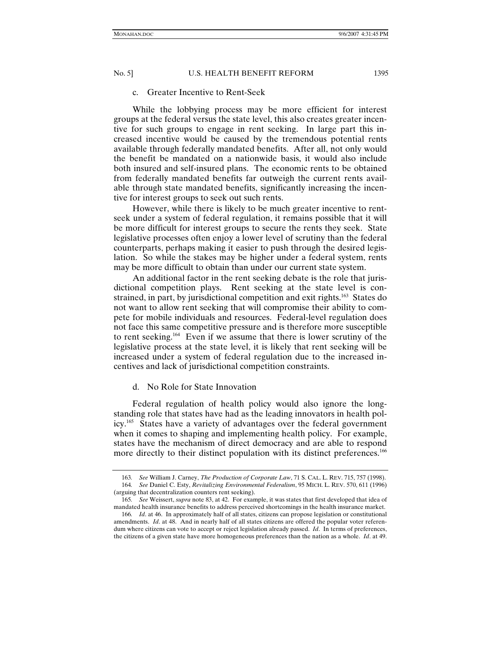# c. Greater Incentive to Rent-Seek

While the lobbying process may be more efficient for interest groups at the federal versus the state level, this also creates greater incentive for such groups to engage in rent seeking. In large part this increased incentive would be caused by the tremendous potential rents available through federally mandated benefits. After all, not only would the benefit be mandated on a nationwide basis, it would also include both insured and self-insured plans. The economic rents to be obtained from federally mandated benefits far outweigh the current rents available through state mandated benefits, significantly increasing the incentive for interest groups to seek out such rents.

However, while there is likely to be much greater incentive to rentseek under a system of federal regulation, it remains possible that it will be more difficult for interest groups to secure the rents they seek. State legislative processes often enjoy a lower level of scrutiny than the federal counterparts, perhaps making it easier to push through the desired legislation. So while the stakes may be higher under a federal system, rents may be more difficult to obtain than under our current state system.

An additional factor in the rent seeking debate is the role that jurisdictional competition plays. Rent seeking at the state level is constrained, in part, by jurisdictional competition and exit rights.<sup>163</sup> States do not want to allow rent seeking that will compromise their ability to compete for mobile individuals and resources. Federal-level regulation does not face this same competitive pressure and is therefore more susceptible to rent seeking.164 Even if we assume that there is lower scrutiny of the legislative process at the state level, it is likely that rent seeking will be increased under a system of federal regulation due to the increased incentives and lack of jurisdictional competition constraints.

# d. No Role for State Innovation

Federal regulation of health policy would also ignore the longstanding role that states have had as the leading innovators in health policy.165 States have a variety of advantages over the federal government when it comes to shaping and implementing health policy. For example, states have the mechanism of direct democracy and are able to respond more directly to their distinct population with its distinct preferences.<sup>166</sup>

<sup>163</sup>*. See* William J. Carney, *The Production of Corporate Law*, 71 S. CAL. L. REV. 715, 757 (1998). 164*. See* Daniel C. Esty, *Revitalizing Environmental Federalism*, 95 MICH. L. REV. 570, 611 (1996) (arguing that decentralization counters rent seeking).

<sup>165</sup>*. See* Weissert, *supra* note 83, at 42. For example, it was states that first developed that idea of mandated health insurance benefits to address perceived shortcomings in the health insurance market.

<sup>166</sup>*. Id*. at 46. In approximately half of all states, citizens can propose legislation or constitutional amendments. *Id.* at 48. And in nearly half of all states citizens are offered the popular voter referendum where citizens can vote to accept or reject legislation already passed. *Id*. In terms of preferences, the citizens of a given state have more homogeneous preferences than the nation as a whole. *Id*. at 49.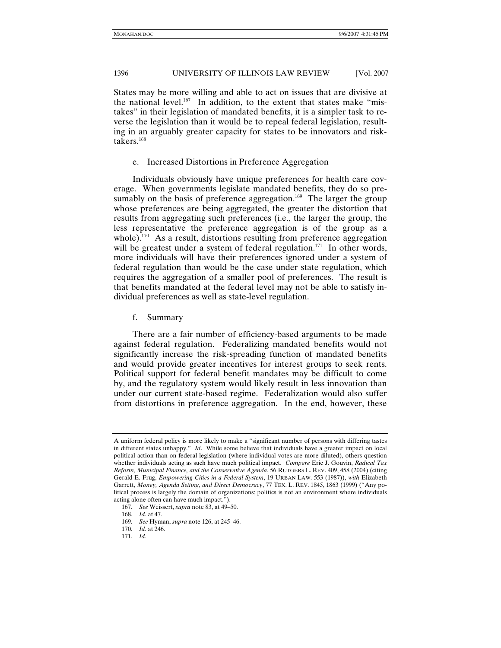States may be more willing and able to act on issues that are divisive at the national level.<sup>167</sup> In addition, to the extent that states make "mistakes" in their legislation of mandated benefits, it is a simpler task to reverse the legislation than it would be to repeal federal legislation, resulting in an arguably greater capacity for states to be innovators and risktakers.168

#### e. Increased Distortions in Preference Aggregation

Individuals obviously have unique preferences for health care coverage. When governments legislate mandated benefits, they do so presumably on the basis of preference aggregation.<sup>169</sup> The larger the group whose preferences are being aggregated, the greater the distortion that results from aggregating such preferences (i.e., the larger the group, the less representative the preference aggregation is of the group as a whole).<sup>170</sup> As a result, distortions resulting from preference aggregation will be greatest under a system of federal regulation.<sup>171</sup> In other words, more individuals will have their preferences ignored under a system of federal regulation than would be the case under state regulation, which requires the aggregation of a smaller pool of preferences. The result is that benefits mandated at the federal level may not be able to satisfy individual preferences as well as state-level regulation.

f. Summary

There are a fair number of efficiency-based arguments to be made against federal regulation. Federalizing mandated benefits would not significantly increase the risk-spreading function of mandated benefits and would provide greater incentives for interest groups to seek rents. Political support for federal benefit mandates may be difficult to come by, and the regulatory system would likely result in less innovation than under our current state-based regime. Federalization would also suffer from distortions in preference aggregation. In the end, however, these

A uniform federal policy is more likely to make a "significant number of persons with differing tastes in different states unhappy." *Id*. While some believe that individuals have a greater impact on local political action than on federal legislation (where individual votes are more diluted), others question whether individuals acting as such have much political impact. *Compare* Eric J. Gouvin, *Radical Tax Reform, Municipal Finance, and the Conservative Agenda*, 56 RUTGERS L. REV. 409, 458 (2004) (citing Gerald E. Frug, *Empowering Cities in a Federal System*, 19 URBAN LAW. 553 (1987)), *with* Elizabeth Garrett, *Money, Agenda Setting, and Direct Democracy*, 77 TEX. L. REV. 1845, 1863 (1999) ("Any political process is largely the domain of organizations; politics is not an environment where individuals acting alone often can have much impact.").

<sup>167</sup>*. See* Weissert, *supra* note 83, at 49–50.

<sup>168</sup>*. Id.* at 47.

<sup>169</sup>*. See* Hyman, *supra* note 126, at 245–46.

<sup>170</sup>*. Id*. at 246.

<sup>171</sup>*. Id*.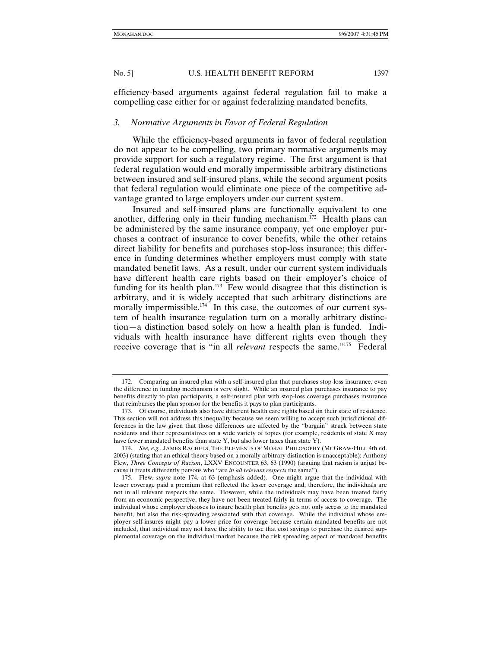efficiency-based arguments against federal regulation fail to make a compelling case either for or against federalizing mandated benefits.

#### *3. Normative Arguments in Favor of Federal Regulation*

While the efficiency-based arguments in favor of federal regulation do not appear to be compelling, two primary normative arguments may provide support for such a regulatory regime. The first argument is that federal regulation would end morally impermissible arbitrary distinctions between insured and self-insured plans, while the second argument posits that federal regulation would eliminate one piece of the competitive advantage granted to large employers under our current system.

Insured and self-insured plans are functionally equivalent to one another, differing only in their funding mechanism.<sup>172</sup> Health plans can be administered by the same insurance company, yet one employer purchases a contract of insurance to cover benefits, while the other retains direct liability for benefits and purchases stop-loss insurance; this difference in funding determines whether employers must comply with state mandated benefit laws. As a result, under our current system individuals have different health care rights based on their employer's choice of funding for its health plan.<sup>173</sup> Few would disagree that this distinction is arbitrary, and it is widely accepted that such arbitrary distinctions are morally impermissible.<sup>174</sup> In this case, the outcomes of our current system of health insurance regulation turn on a morally arbitrary distinction—a distinction based solely on how a health plan is funded. Individuals with health insurance have different rights even though they receive coverage that is "in all *relevant* respects the same."175 Federal

 <sup>172.</sup> Comparing an insured plan with a self-insured plan that purchases stop-loss insurance, even the difference in funding mechanism is very slight. While an insured plan purchases insurance to pay benefits directly to plan participants, a self-insured plan with stop-loss coverage purchases insurance that reimburses the plan sponsor for the benefits it pays to plan participants.

 <sup>173.</sup> Of course, individuals also have different health care rights based on their state of residence. This section will not address this inequality because we seem willing to accept such jurisdictional differences in the law given that those differences are affected by the "bargain" struck between state residents and their representatives on a wide variety of topics (for example, residents of state X may have fewer mandated benefits than state Y, but also lower taxes than state Y).

<sup>174</sup>*. See, e.g.*, JAMES RACHELS, THE ELEMENTS OF MORAL PHILOSOPHY (MCGRAW-HILL 4th ed. 2003) (stating that an ethical theory based on a morally arbitrary distinction is unacceptable); Anthony Flew, *Three Concepts of Racism*, LXXV ENCOUNTER 63, 63 (1990) (arguing that racism is unjust because it treats differently persons who "are *in all relevant respects* the same").

 <sup>175.</sup> Flew, *supra* note 174, at 63 (emphasis added). One might argue that the individual with lesser coverage paid a premium that reflected the lesser coverage and, therefore, the individuals are not in all relevant respects the same. However, while the individuals may have been treated fairly from an economic perspective, they have not been treated fairly in terms of access to coverage. The individual whose employer chooses to insure health plan benefits gets not only access to the mandated benefit, but also the risk-spreading associated with that coverage. While the individual whose employer self-insures might pay a lower price for coverage because certain mandated benefits are not included, that individual may not have the ability to use that cost savings to purchase the desired supplemental coverage on the individual market because the risk spreading aspect of mandated benefits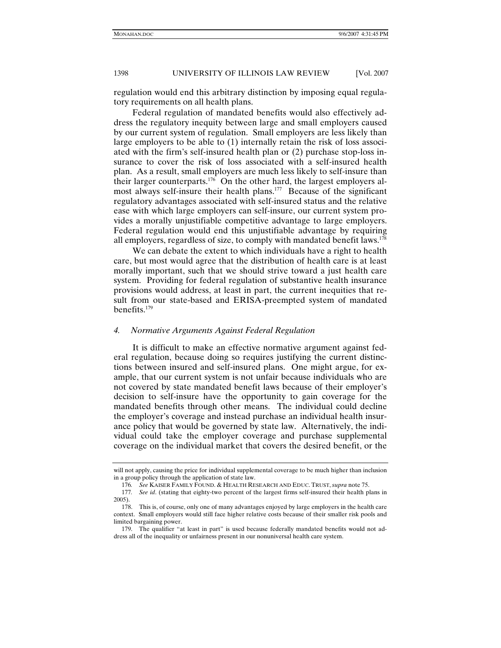regulation would end this arbitrary distinction by imposing equal regulatory requirements on all health plans.

Federal regulation of mandated benefits would also effectively address the regulatory inequity between large and small employers caused by our current system of regulation. Small employers are less likely than large employers to be able to (1) internally retain the risk of loss associated with the firm's self-insured health plan or (2) purchase stop-loss insurance to cover the risk of loss associated with a self-insured health plan. As a result, small employers are much less likely to self-insure than their larger counterparts.<sup>176</sup> On the other hard, the largest employers almost always self-insure their health plans.<sup>177</sup> Because of the significant regulatory advantages associated with self-insured status and the relative ease with which large employers can self-insure, our current system provides a morally unjustifiable competitive advantage to large employers. Federal regulation would end this unjustifiable advantage by requiring all employers, regardless of size, to comply with mandated benefit laws.<sup>178</sup>

We can debate the extent to which individuals have a right to health care, but most would agree that the distribution of health care is at least morally important, such that we should strive toward a just health care system. Providing for federal regulation of substantive health insurance provisions would address, at least in part, the current inequities that result from our state-based and ERISA-preempted system of mandated benefits.179

#### *4. Normative Arguments Against Federal Regulation*

It is difficult to make an effective normative argument against federal regulation, because doing so requires justifying the current distinctions between insured and self-insured plans. One might argue, for example, that our current system is not unfair because individuals who are not covered by state mandated benefit laws because of their employer's decision to self-insure have the opportunity to gain coverage for the mandated benefits through other means. The individual could decline the employer's coverage and instead purchase an individual health insurance policy that would be governed by state law. Alternatively, the individual could take the employer coverage and purchase supplemental coverage on the individual market that covers the desired benefit, or the

will not apply, causing the price for individual supplemental coverage to be much higher than inclusion in a group policy through the application of state law.

<sup>176</sup>*. See* KAISER FAMILY FOUND. & HEALTH RESEARCH AND EDUC. TRUST, *supra* note 75.

<sup>177</sup>*. See id*. (stating that eighty-two percent of the largest firms self-insured their health plans in 2005).

 <sup>178.</sup> This is, of course, only one of many advantages enjoyed by large employers in the health care context. Small employers would still face higher relative costs because of their smaller risk pools and limited bargaining power.

 <sup>179.</sup> The qualifier "at least in part" is used because federally mandated benefits would not address all of the inequality or unfairness present in our nonuniversal health care system.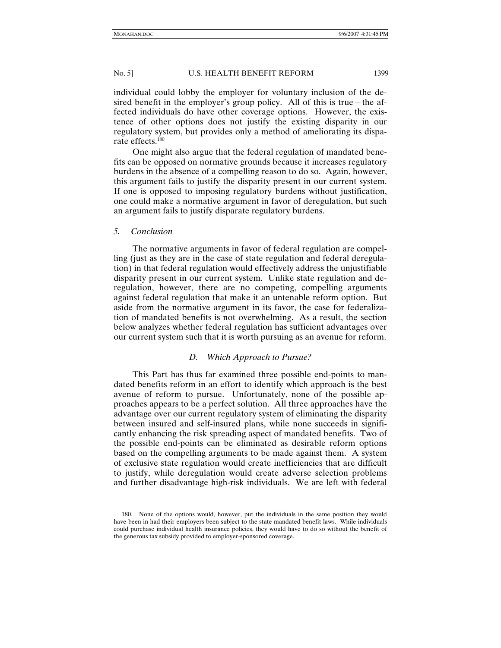individual could lobby the employer for voluntary inclusion of the desired benefit in the employer's group policy. All of this is true—the affected individuals do have other coverage options. However, the existence of other options does not justify the existing disparity in our regulatory system, but provides only a method of ameliorating its disparate effects.<sup>180</sup>

One might also argue that the federal regulation of mandated benefits can be opposed on normative grounds because it increases regulatory burdens in the absence of a compelling reason to do so. Again, however, this argument fails to justify the disparity present in our current system. If one is opposed to imposing regulatory burdens without justification, one could make a normative argument in favor of deregulation, but such an argument fails to justify disparate regulatory burdens.

# *5. Conclusion*

The normative arguments in favor of federal regulation are compelling (just as they are in the case of state regulation and federal deregulation) in that federal regulation would effectively address the unjustifiable disparity present in our current system. Unlike state regulation and deregulation, however, there are no competing, compelling arguments against federal regulation that make it an untenable reform option. But aside from the normative argument in its favor, the case for federalization of mandated benefits is not overwhelming. As a result, the section below analyzes whether federal regulation has sufficient advantages over our current system such that it is worth pursuing as an avenue for reform.

# *D. Which Approach to Pursue?*

This Part has thus far examined three possible end-points to mandated benefits reform in an effort to identify which approach is the best avenue of reform to pursue. Unfortunately, none of the possible approaches appears to be a perfect solution. All three approaches have the advantage over our current regulatory system of eliminating the disparity between insured and self-insured plans, while none succeeds in significantly enhancing the risk spreading aspect of mandated benefits. Two of the possible end-points can be eliminated as desirable reform options based on the compelling arguments to be made against them. A system of exclusive state regulation would create inefficiencies that are difficult to justify, while deregulation would create adverse selection problems and further disadvantage high-risk individuals. We are left with federal

 <sup>180.</sup> None of the options would, however, put the individuals in the same position they would have been in had their employers been subject to the state mandated benefit laws. While individuals could purchase individual health insurance policies, they would have to do so without the benefit of the generous tax subsidy provided to employer-sponsored coverage.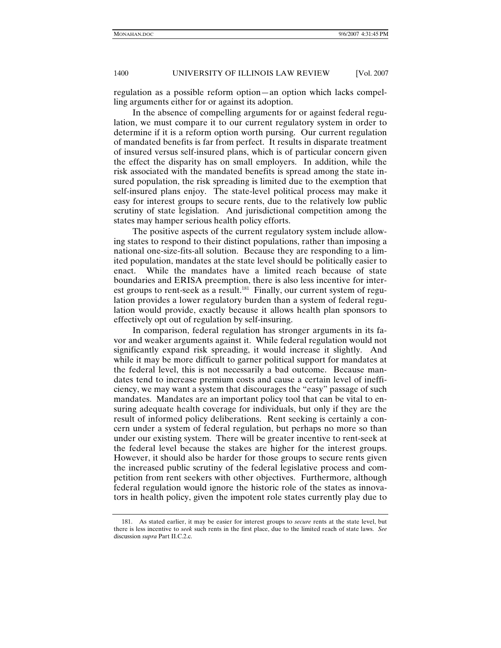regulation as a possible reform option—an option which lacks compelling arguments either for or against its adoption.

In the absence of compelling arguments for or against federal regulation, we must compare it to our current regulatory system in order to determine if it is a reform option worth pursing. Our current regulation of mandated benefits is far from perfect. It results in disparate treatment of insured versus self-insured plans, which is of particular concern given the effect the disparity has on small employers. In addition, while the risk associated with the mandated benefits is spread among the state insured population, the risk spreading is limited due to the exemption that self-insured plans enjoy. The state-level political process may make it easy for interest groups to secure rents, due to the relatively low public scrutiny of state legislation. And jurisdictional competition among the states may hamper serious health policy efforts.

The positive aspects of the current regulatory system include allowing states to respond to their distinct populations, rather than imposing a national one-size-fits-all solution. Because they are responding to a limited population, mandates at the state level should be politically easier to enact. While the mandates have a limited reach because of state boundaries and ERISA preemption, there is also less incentive for interest groups to rent-seek as a result.<sup>181</sup> Finally, our current system of regulation provides a lower regulatory burden than a system of federal regulation would provide, exactly because it allows health plan sponsors to effectively opt out of regulation by self-insuring.

In comparison, federal regulation has stronger arguments in its favor and weaker arguments against it. While federal regulation would not significantly expand risk spreading, it would increase it slightly. And while it may be more difficult to garner political support for mandates at the federal level, this is not necessarily a bad outcome. Because mandates tend to increase premium costs and cause a certain level of inefficiency, we may want a system that discourages the "easy" passage of such mandates. Mandates are an important policy tool that can be vital to ensuring adequate health coverage for individuals, but only if they are the result of informed policy deliberations. Rent seeking is certainly a concern under a system of federal regulation, but perhaps no more so than under our existing system. There will be greater incentive to rent-seek at the federal level because the stakes are higher for the interest groups. However, it should also be harder for those groups to secure rents given the increased public scrutiny of the federal legislative process and competition from rent seekers with other objectives. Furthermore, although federal regulation would ignore the historic role of the states as innovators in health policy, given the impotent role states currently play due to

 <sup>181.</sup> As stated earlier, it may be easier for interest groups to *secure* rents at the state level, but there is less incentive to *seek* such rents in the first place, due to the limited reach of state laws. *See* discussion *supra* Part II.C.2.c.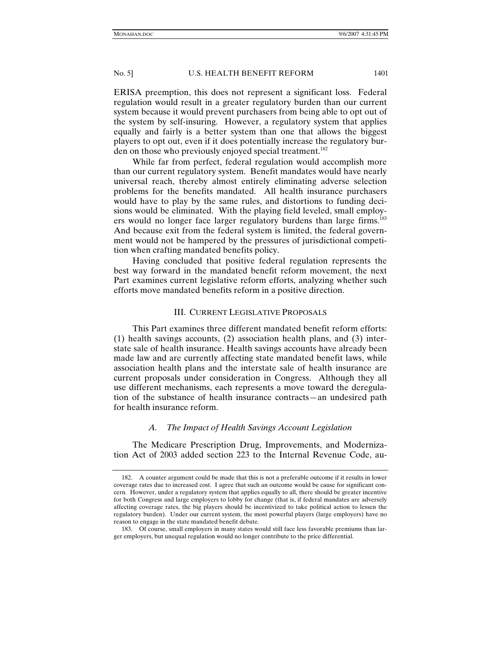ERISA preemption, this does not represent a significant loss. Federal regulation would result in a greater regulatory burden than our current system because it would prevent purchasers from being able to opt out of the system by self-insuring. However, a regulatory system that applies equally and fairly is a better system than one that allows the biggest players to opt out, even if it does potentially increase the regulatory burden on those who previously enjoyed special treatment.<sup>182</sup>

While far from perfect, federal regulation would accomplish more than our current regulatory system. Benefit mandates would have nearly universal reach, thereby almost entirely eliminating adverse selection problems for the benefits mandated. All health insurance purchasers would have to play by the same rules, and distortions to funding decisions would be eliminated. With the playing field leveled, small employers would no longer face larger regulatory burdens than large firms.<sup>183</sup> And because exit from the federal system is limited, the federal government would not be hampered by the pressures of jurisdictional competition when crafting mandated benefits policy.

Having concluded that positive federal regulation represents the best way forward in the mandated benefit reform movement, the next Part examines current legislative reform efforts, analyzing whether such efforts move mandated benefits reform in a positive direction.

### III. CURRENT LEGISLATIVE PROPOSALS

This Part examines three different mandated benefit reform efforts: (1) health savings accounts, (2) association health plans, and (3) interstate sale of health insurance. Health savings accounts have already been made law and are currently affecting state mandated benefit laws, while association health plans and the interstate sale of health insurance are current proposals under consideration in Congress. Although they all use different mechanisms, each represents a move toward the deregulation of the substance of health insurance contracts—an undesired path for health insurance reform.

# *A. The Impact of Health Savings Account Legislation*

The Medicare Prescription Drug, Improvements, and Modernization Act of 2003 added section 223 to the Internal Revenue Code, au-

 <sup>182.</sup> A counter argument could be made that this is not a preferable outcome if it results in lower coverage rates due to increased cost. I agree that such an outcome would be cause for significant concern. However, under a regulatory system that applies equally to all, there should be greater incentive for both Congress and large employers to lobby for change (that is, if federal mandates are adversely affecting coverage rates, the big players should be incentivized to take political action to lessen the regulatory burden). Under our current system, the most powerful players (large employers) have no reason to engage in the state mandated benefit debate.

 <sup>183.</sup> Of course, small employers in many states would still face less favorable premiums than larger employers, but unequal regulation would no longer contribute to the price differential.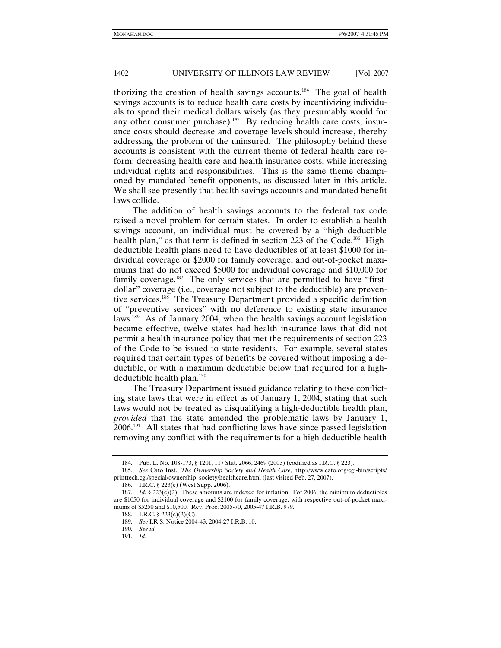thorizing the creation of health savings accounts.<sup>184</sup> The goal of health savings accounts is to reduce health care costs by incentivizing individuals to spend their medical dollars wisely (as they presumably would for any other consumer purchase).<sup>185</sup> By reducing health care costs, insurance costs should decrease and coverage levels should increase, thereby addressing the problem of the uninsured. The philosophy behind these accounts is consistent with the current theme of federal health care reform: decreasing health care and health insurance costs, while increasing individual rights and responsibilities. This is the same theme championed by mandated benefit opponents, as discussed later in this article. We shall see presently that health savings accounts and mandated benefit laws collide.

The addition of health savings accounts to the federal tax code raised a novel problem for certain states. In order to establish a health savings account, an individual must be covered by a "high deductible health plan," as that term is defined in section 223 of the Code.<sup>186</sup> Highdeductible health plans need to have deductibles of at least \$1000 for individual coverage or \$2000 for family coverage, and out-of-pocket maximums that do not exceed \$5000 for individual coverage and \$10,000 for family coverage. $187$  The only services that are permitted to have "firstdollar" coverage (i.e., coverage not subject to the deductible) are preventive services.188 The Treasury Department provided a specific definition of "preventive services" with no deference to existing state insurance laws.189 As of January 2004, when the health savings account legislation became effective, twelve states had health insurance laws that did not permit a health insurance policy that met the requirements of section 223 of the Code to be issued to state residents. For example, several states required that certain types of benefits be covered without imposing a deductible, or with a maximum deductible below that required for a highdeductible health plan.<sup>190</sup>

The Treasury Department issued guidance relating to these conflicting state laws that were in effect as of January 1, 2004, stating that such laws would not be treated as disqualifying a high-deductible health plan, *provided* that the state amended the problematic laws by January 1, 2006.191 All states that had conflicting laws have since passed legislation removing any conflict with the requirements for a high deductible health

 <sup>184.</sup> Pub. L. No. 108-173, § 1201, 117 Stat. 2066, 2469 (2003) (codified as I.R.C. § 223).

<sup>185</sup>*. See* Cato Inst., *The Ownership Society and Health Care*, http://www.cato.org/cgi-bin/scripts/ printtech.cgi/special/ownership\_society/healthcare.html (last visited Feb. 27, 2007).

 <sup>186.</sup> I.R.C. § 223(c) (West Supp. 2006).

 <sup>187.</sup> *Id.* § 223(c)(2). These amounts are indexed for inflation. For 2006, the minimum deductibles are \$1050 for individual coverage and \$2100 for family coverage, with respective out-of-pocket maximums of \$5250 and \$10,500. Rev. Proc. 2005-70, 2005-47 I.R.B. 979.

 <sup>188.</sup> I.R.C. § 223(c)(2)(C).

<sup>189</sup>*. See* I.R.S. Notice 2004-43, 2004-27 I.R.B. 10.

<sup>190</sup>*. See id.*

<sup>191</sup>*. Id*.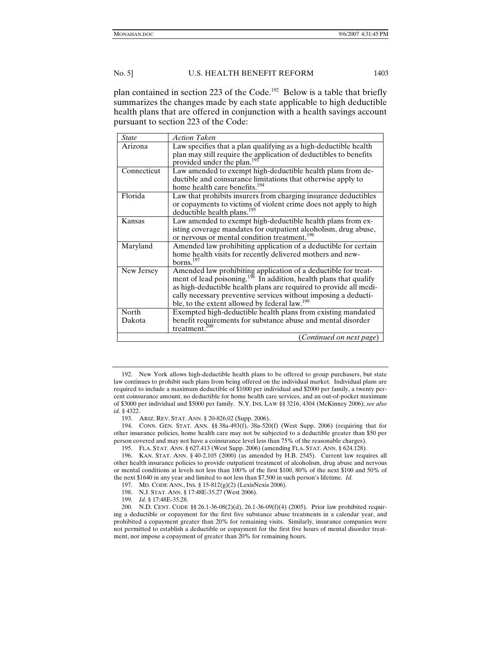plan contained in section 223 of the Code.<sup>192</sup> Below is a table that briefly summarizes the changes made by each state applicable to high deductible health plans that are offered in conjunction with a health savings account pursuant to section 223 of the Code:

| State           | <b>Action Taken</b>                                                                                                                                                                                                                                                                                                                                  |
|-----------------|------------------------------------------------------------------------------------------------------------------------------------------------------------------------------------------------------------------------------------------------------------------------------------------------------------------------------------------------------|
| Arizona         | Law specifies that a plan qualifying as a high-deductible health<br>plan may still require the application of deductibles to benefits<br>provided under the plan. <sup>193</sup>                                                                                                                                                                     |
| Connecticut     | Law amended to exempt high-deductible health plans from de-<br>ductible and coinsurance limitations that otherwise apply to<br>home health care benefits. <sup>194</sup>                                                                                                                                                                             |
| Florida         | Law that prohibits insurers from charging insurance deductibles<br>or copayments to victims of violent crime does not apply to high<br>deductible health plans. <sup>195</sup>                                                                                                                                                                       |
| Kansas          | Law amended to exempt high-deductible health plans from ex-<br>isting coverage mandates for outpatient alcoholism, drug abuse,<br>or nervous or mental condition treatment. <sup>196</sup>                                                                                                                                                           |
| Maryland        | Amended law prohibiting application of a deductible for certain<br>home health visits for recently delivered mothers and new-<br>$h \text{or}$ ns. <sup>197</sup>                                                                                                                                                                                    |
| New Jersey      | Amended law prohibiting application of a deductible for treat-<br>ment of lead poisoning. <sup>198</sup> In addition, health plans that qualify<br>as high-deductible health plans are required to provide all medi-<br>cally necessary preventive services without imposing a deducti-<br>ble, to the extent allowed by federal law. <sup>199</sup> |
| North<br>Dakota | Exempted high-deductible health plans from existing mandated<br>benefit requirements for substance abuse and mental disorder<br>treatment.                                                                                                                                                                                                           |
|                 | (Continued on next page)                                                                                                                                                                                                                                                                                                                             |

 <sup>192.</sup> New York allows high-deductible health plans to be offered to group purchasers, but state law continues to prohibit such plans from being offered on the individual market. Individual plans are required to include a maximum deductible of \$1000 per individual and \$2000 per family, a twenty percent coinsurance amount, no deductible for home health care services, and an out-of-pocket maximum of \$3000 per individual and \$5000 per family. N.Y. INS. LAW §§ 3216, 4304 (McKinney 2006); *see also id*. § 4322.

 <sup>193.</sup> ARIZ. REV. STAT. ANN. § 20-826.02 (Supp. 2006).

 <sup>194.</sup> CONN. GEN. STAT. ANN. §§ 38a-493(f), 38a-520(f) (West Supp. 2006) (requiring that for other insurance policies, home health care may not be subjected to a deductible greater than \$50 per person covered and may not have a coinsurance level less than 75% of the reasonable charges).

 <sup>195.</sup> FLA. STAT. ANN. § 627.413 (West Supp. 2006) (amending FLA. STAT. ANN. § 624.128).

 <sup>196.</sup> KAN. STAT. ANN. § 40-2,105 (2000) (as amended by H.B. 2545). Current law requires all other health insurance policies to provide outpatient treatment of alcoholism, drug abuse and nervous or mental conditions at levels not less than 100% of the first \$100, 80% of the next \$100 and 50% of the next \$1640 in any year and limited to not less than \$7,500 in such person's lifetime. *Id.* 

 <sup>197.</sup> MD. CODE ANN., INS. § 15-812(g)(2) (LexisNexis 2006).

 <sup>198.</sup> N.J. STAT. ANN. § 17:48E-35.27 (West 2006).

<sup>199</sup>*. Id*. § 17:48E-35.28.

 <sup>200.</sup> N.D. CENT. CODE §§ 26.1-36-08(2)(d), 26.1-36-09(f)(4) (2005). Prior law prohibited requiring a deductible or copayment for the first five substance abuse treatments in a calendar year, and prohibited a copayment greater than 20% for remaining visits. Similarly, insurance companies were not permitted to establish a deductible or copayment for the first five hours of mental disorder treatment, nor impose a copayment of greater than 20% for remaining hours.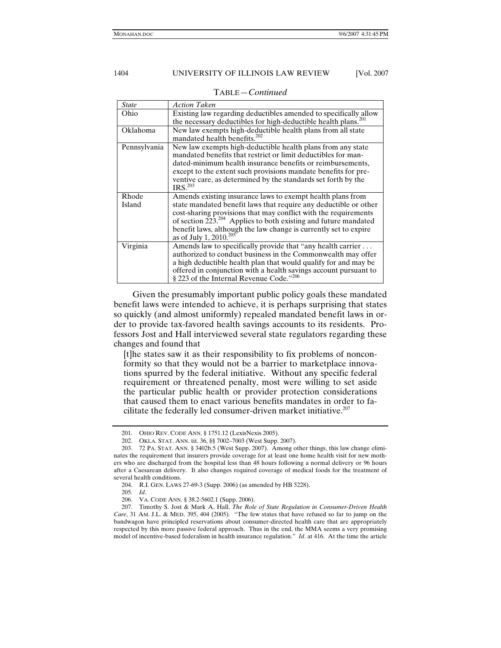| <b>State</b>    | <b>Action Taken</b>                                                                                                                                                                                                                                                                                                                                                                 |
|-----------------|-------------------------------------------------------------------------------------------------------------------------------------------------------------------------------------------------------------------------------------------------------------------------------------------------------------------------------------------------------------------------------------|
| Ohio            | Existing law regarding deductibles amended to specifically allow                                                                                                                                                                                                                                                                                                                    |
|                 | the necessary deductibles for high-deductible health plans. <sup>201</sup>                                                                                                                                                                                                                                                                                                          |
| Oklahoma        | New law exempts high-deductible health plans from all state<br>mandated health benefits. <sup>202</sup>                                                                                                                                                                                                                                                                             |
| Pennsylvania    | New law exempts high-deductible health plans from any state<br>mandated benefits that restrict or limit deductibles for man-<br>dated-minimum health insurance benefits or reimbursements,<br>except to the extent such provisions mandate benefits for pre-<br>ventive care, as determined by the standards set forth by the<br>IRS. <sup>203</sup>                                |
| Rhode<br>Island | Amends existing insurance laws to exempt health plans from<br>state mandated benefit laws that require any deductible or other<br>cost-sharing provisions that may conflict with the requirements<br>of section $223.^{204}$ Applies to both existing and future mandated<br>benefit laws, although the law change is currently set to expire<br>as of July 1, 2010. <sup>205</sup> |
| Virginia        | Amends law to specifically provide that "any health carrier<br>authorized to conduct business in the Commonwealth may offer<br>a high deductible health plan that would qualify for and may be<br>offered in conjunction with a health savings account pursuant to<br>§ 223 of the Internal Revenue Code."206                                                                       |

TABLE—*Continued*

Given the presumably important public policy goals these mandated benefit laws were intended to achieve, it is perhaps surprising that states so quickly (and almost uniformly) repealed mandated benefit laws in order to provide tax-favored health savings accounts to its residents. Professors Jost and Hall interviewed several state regulators regarding these changes and found that

[t]he states saw it as their responsibility to fix problems of nonconformity so that they would not be a barrier to marketplace innovations spurred by the federal initiative. Without any specific federal requirement or threatened penalty, most were willing to set aside the particular public health or provider protection considerations that caused them to enact various benefits mandates in order to facilitate the federally led consumer-driven market initiative. $207$ 

 <sup>201.</sup> OHIO REV. CODE ANN. § 1751.12 (LexisNexis 2005).

 <sup>202.</sup> OKLA. STAT. ANN. tit. 36, §§ 7002–7003 (West Supp. 2007).

 <sup>203. 72</sup> PA. STAT. ANN. § 3402b.5 (West Supp. 2007). Among other things, this law change eliminates the requirement that insurers provide coverage for at least one home health visit for new mothers who are discharged from the hospital less than 48 hours following a normal delivery or 96 hours after a Caesarean delivery. It also changes required coverage of medical foods for the treatment of several health conditions.

 <sup>204.</sup> R.I. GEN. LAWS 27-69-3 (Supp. 2006) (as amended by HB 5228).

<sup>205</sup>*. Id*.

 <sup>206.</sup> VA. CODE ANN. § 38.2-5602.1 (Supp. 2006).

 <sup>207.</sup> Timothy S. Jost & Mark A. Hall, *The Role of State Regulation in Consumer-Driven Health Care*, 31 AM. J.L. & MED. 395, 404 (2005). "The few states that have refused so far to jump on the bandwagon have principled reservations about consumer-directed health care that are appropriately respected by this more passive federal approach. Thus in the end, the MMA seems a very promising model of incentive-based federalism in health insurance regulation." *Id*. at 416. At the time the article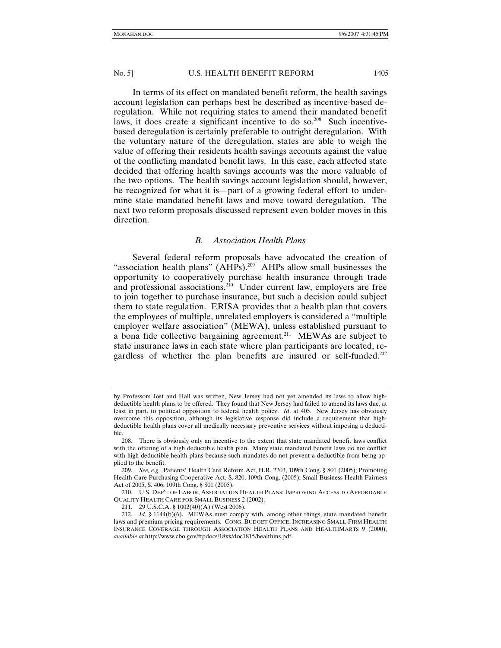In terms of its effect on mandated benefit reform, the health savings account legislation can perhaps best be described as incentive-based deregulation. While not requiring states to amend their mandated benefit laws, it does create a significant incentive to do so.<sup>208</sup> Such incentivebased deregulation is certainly preferable to outright deregulation. With the voluntary nature of the deregulation, states are able to weigh the value of offering their residents health savings accounts against the value of the conflicting mandated benefit laws. In this case, each affected state decided that offering health savings accounts was the more valuable of the two options. The health savings account legislation should, however, be recognized for what it is—part of a growing federal effort to undermine state mandated benefit laws and move toward deregulation. The next two reform proposals discussed represent even bolder moves in this direction.

#### *B. Association Health Plans*

Several federal reform proposals have advocated the creation of "association health plans"  $(AHPs)$ <sup>209</sup> AHPs allow small businesses the opportunity to cooperatively purchase health insurance through trade and professional associations. $2^{10}$  Under current law, employers are free to join together to purchase insurance, but such a decision could subject them to state regulation. ERISA provides that a health plan that covers the employees of multiple, unrelated employers is considered a "multiple employer welfare association" (MEWA), unless established pursuant to a bona fide collective bargaining agreement.211 MEWAs are subject to state insurance laws in each state where plan participants are located, regardless of whether the plan benefits are insured or self-funded.<sup>212</sup>

by Professors Jost and Hall was written, New Jersey had not yet amended its laws to allow highdeductible health plans to be offered. They found that New Jersey had failed to amend its laws due, at least in part, to political opposition to federal health policy. *Id*. at 405. New Jersey has obviously overcome this opposition, although its legislative response did include a requirement that highdeductible health plans cover all medically necessary preventive services without imposing a deductible.

 <sup>208.</sup> There is obviously only an incentive to the extent that state mandated benefit laws conflict with the offering of a high deductible health plan. Many state mandated benefit laws do not conflict with high deductible health plans because such mandates do not prevent a deductible from being applied to the benefit.

<sup>209</sup>*. See, e.g.*, Patients' Health Care Reform Act, H.R. 2203, 109th Cong. § 801 (2005); Promoting Health Care Purchasing Cooperative Act, S. 820, 109th Cong. (2005); Small Business Health Fairness Act of 2005, S. 406, 109th Cong. § 801 (2005).

 <sup>210.</sup> U.S. DEP'T OF LABOR, ASSOCIATION HEALTH PLANS: IMPROVING ACCESS TO AFFORDABLE QUALITY HEALTH CARE FOR SMALL BUSINESS 2 (2002).

 <sup>211. 29</sup> U.S.C.A. § 1002(40)(A) (West 2006).

<sup>212</sup>*. Id*. § 1144(b)(6). MEWAs must comply with, among other things, state mandated benefit laws and premium pricing requirements. CONG. BUDGET OFFICE, INCREASING SMALL-FIRM HEALTH INSURANCE COVERAGE THROUGH ASSOCIATION HEALTH PLANS AND HEALTHMARTS 9 (2000), *available at* http://www.cbo.gov/ftpdocs/18xx/doc1815/healthins.pdf.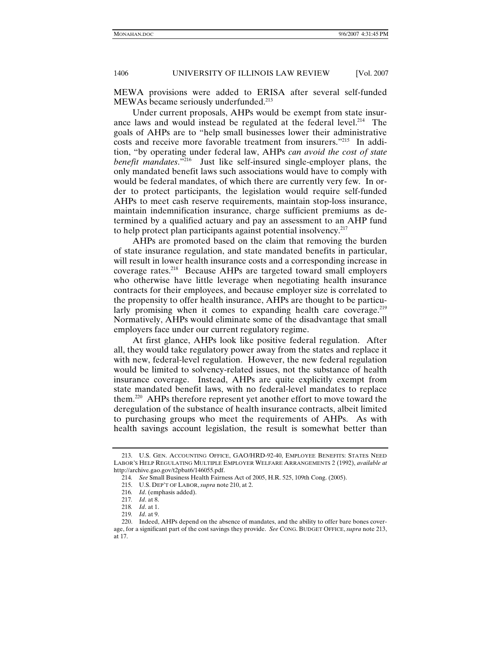MEWA provisions were added to ERISA after several self-funded MEWAs became seriously underfunded.<sup>213</sup>

Under current proposals, AHPs would be exempt from state insurance laws and would instead be regulated at the federal level.<sup>214</sup> The goals of AHPs are to "help small businesses lower their administrative costs and receive more favorable treatment from insurers."215 In addition, "by operating under federal law, AHPs *can avoid the cost of state benefit mandates*."216 Just like self-insured single-employer plans, the only mandated benefit laws such associations would have to comply with would be federal mandates, of which there are currently very few. In order to protect participants, the legislation would require self-funded AHPs to meet cash reserve requirements, maintain stop-loss insurance, maintain indemnification insurance, charge sufficient premiums as determined by a qualified actuary and pay an assessment to an AHP fund to help protect plan participants against potential insolvency.217

AHPs are promoted based on the claim that removing the burden of state insurance regulation, and state mandated benefits in particular, will result in lower health insurance costs and a corresponding increase in coverage rates.218 Because AHPs are targeted toward small employers who otherwise have little leverage when negotiating health insurance contracts for their employees, and because employer size is correlated to the propensity to offer health insurance, AHPs are thought to be particularly promising when it comes to expanding health care coverage.<sup>219</sup> Normatively, AHPs would eliminate some of the disadvantage that small employers face under our current regulatory regime.

At first glance, AHPs look like positive federal regulation. After all, they would take regulatory power away from the states and replace it with new, federal-level regulation. However, the new federal regulation would be limited to solvency-related issues, not the substance of health insurance coverage. Instead, AHPs are quite explicitly exempt from state mandated benefit laws, with no federal-level mandates to replace them.220 AHPs therefore represent yet another effort to move toward the deregulation of the substance of health insurance contracts, albeit limited to purchasing groups who meet the requirements of AHPs. As with health savings account legislation, the result is somewhat better than

 <sup>213.</sup> U.S. GEN. ACCOUNTING OFFICE, GAO/HRD-92-40, EMPLOYEE BENEFITS: STATES NEED LABOR'S HELP REGULATING MULTIPLE EMPLOYER WELFARE ARRANGEMENTS 2 (1992), *available at* http://archive.gao.gov/t2pbat6/146055.pdf.

<sup>214</sup>*. See* Small Business Health Fairness Act of 2005, H.R. 525, 109th Cong. (2005).

 <sup>215.</sup> U.S. DEP'T OF LABOR, *supra* note 210, at 2.

<sup>216</sup>*. Id*. (emphasis added).

<sup>217</sup>*. Id*. at 8.

<sup>218</sup>*. Id*. at 1.

<sup>219</sup>*. Id*. at 9.

 <sup>220.</sup> Indeed, AHPs depend on the absence of mandates, and the ability to offer bare bones coverage, for a significant part of the cost savings they provide. *See* CONG. BUDGET OFFICE, *supra* note 213, at 17.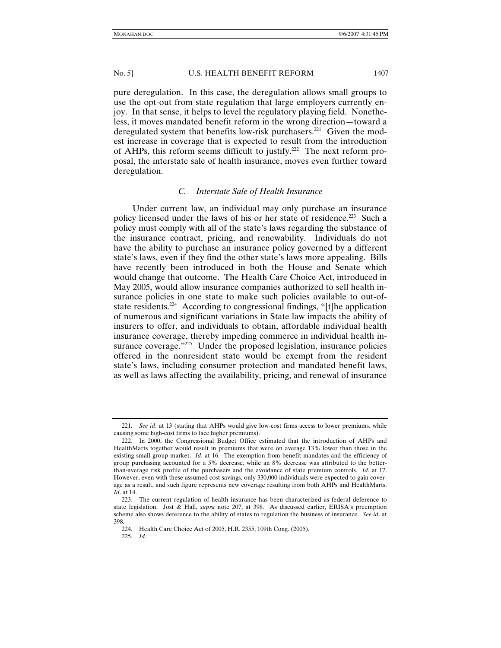pure deregulation. In this case, the deregulation allows small groups to use the opt-out from state regulation that large employers currently enjoy. In that sense, it helps to level the regulatory playing field. Nonetheless, it moves mandated benefit reform in the wrong direction—toward a deregulated system that benefits low-risk purchasers.<sup>221</sup> Given the modest increase in coverage that is expected to result from the introduction of AHPs, this reform seems difficult to justify.<sup>222</sup> The next reform proposal, the interstate sale of health insurance, moves even further toward deregulation.

# *C. Interstate Sale of Health Insurance*

Under current law, an individual may only purchase an insurance policy licensed under the laws of his or her state of residence.<sup>223</sup> Such a policy must comply with all of the state's laws regarding the substance of the insurance contract, pricing, and renewability. Individuals do not have the ability to purchase an insurance policy governed by a different state's laws, even if they find the other state's laws more appealing. Bills have recently been introduced in both the House and Senate which would change that outcome. The Health Care Choice Act, introduced in May 2005, would allow insurance companies authorized to sell health insurance policies in one state to make such policies available to out-ofstate residents.<sup>224</sup> According to congressional findings, "[t]he application of numerous and significant variations in State law impacts the ability of insurers to offer, and individuals to obtain, affordable individual health insurance coverage, thereby impeding commerce in individual health insurance coverage."<sup>225</sup> Under the proposed legislation, insurance policies offered in the nonresident state would be exempt from the resident state's laws, including consumer protection and mandated benefit laws, as well as laws affecting the availability, pricing, and renewal of insurance

<sup>221</sup>*. See id*. at 13 (stating that AHPs would give low-cost firms access to lower premiums, while causing some high-cost firms to face higher premiums).

 <sup>222.</sup> In 2000, the Congressional Budget Office estimated that the introduction of AHPs and HealthMarts together would result in premiums that were on average 13% lower than those in the existing small group market. *Id*. at 16. The exemption from benefit mandates and the efficiency of group purchasing accounted for a 5% decrease, while an 8% decrease was attributed to the betterthan-average risk profile of the purchasers and the avoidance of state premium controls. *Id*. at 17. However, even with these assumed cost savings, only 330,000 individuals were expected to gain coverage as a result, and such figure represents new coverage resulting from both AHPs and HealthMarts. *Id*. at 14.

 <sup>223.</sup> The current regulation of health insurance has been characterized as federal deference to state legislation. Jost & Hall, *supra* note 207, at 398. As discussed earlier, ERISA's preemption scheme also shows deference to the ability of states to regulation the business of insurance. *See id*. at 398.

 <sup>224.</sup> Health Care Choice Act of 2005, H.R. 2355, 109th Cong. (2005).

<sup>225</sup>*. Id*.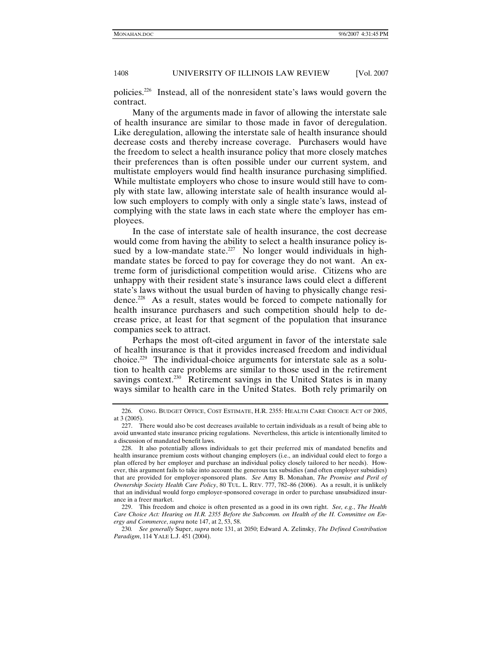policies.226 Instead, all of the nonresident state's laws would govern the contract.

Many of the arguments made in favor of allowing the interstate sale of health insurance are similar to those made in favor of deregulation. Like deregulation, allowing the interstate sale of health insurance should decrease costs and thereby increase coverage. Purchasers would have the freedom to select a health insurance policy that more closely matches their preferences than is often possible under our current system, and multistate employers would find health insurance purchasing simplified. While multistate employers who chose to insure would still have to comply with state law, allowing interstate sale of health insurance would allow such employers to comply with only a single state's laws, instead of complying with the state laws in each state where the employer has employees.

In the case of interstate sale of health insurance, the cost decrease would come from having the ability to select a health insurance policy issued by a low-mandate state.<sup>227</sup> No longer would individuals in highmandate states be forced to pay for coverage they do not want. An extreme form of jurisdictional competition would arise. Citizens who are unhappy with their resident state's insurance laws could elect a different state's laws without the usual burden of having to physically change residence.228 As a result, states would be forced to compete nationally for health insurance purchasers and such competition should help to decrease price, at least for that segment of the population that insurance companies seek to attract.

Perhaps the most oft-cited argument in favor of the interstate sale of health insurance is that it provides increased freedom and individual choice.229 The individual-choice arguments for interstate sale as a solution to health care problems are similar to those used in the retirement savings context.<sup>230</sup> Retirement savings in the United States is in many ways similar to health care in the United States. Both rely primarily on

 <sup>226.</sup> CONG. BUDGET OFFICE, COST ESTIMATE, H.R. 2355: HEALTH CARE CHOICE ACT OF 2005, at 3 (2005).

 <sup>227.</sup> There would also be cost decreases available to certain individuals as a result of being able to avoid unwanted state insurance pricing regulations. Nevertheless, this article is intentionally limited to a discussion of mandated benefit laws.

 <sup>228.</sup> It also potentially allows individuals to get their preferred mix of mandated benefits and health insurance premium costs without changing employers (i.e., an individual could elect to forgo a plan offered by her employer and purchase an individual policy closely tailored to her needs). However, this argument fails to take into account the generous tax subsidies (and often employer subsidies) that are provided for employer-sponsored plans. *See* Amy B. Monahan, *The Promise and Peril of Ownership Society Health Care Policy*, 80 TUL. L. REV. 777, 782–86 (2006). As a result, it is unlikely that an individual would forgo employer-sponsored coverage in order to purchase unsubsidized insurance in a freer market.

 <sup>229.</sup> This freedom and choice is often presented as a good in its own right. *See, e.g.*, *The Health Care Choice Act: Hearing on H.R. 2355 Before the Subcomm. on Health of the H. Committee on Energy and Commerce*, *supra* note 147, at 2, 53, 58.

<sup>230</sup>*. See generally* Super, *supra* note 131, at 2050; Edward A. Zelinsky, *The Defined Contribution Paradigm*, 114 YALE L.J. 451 (2004).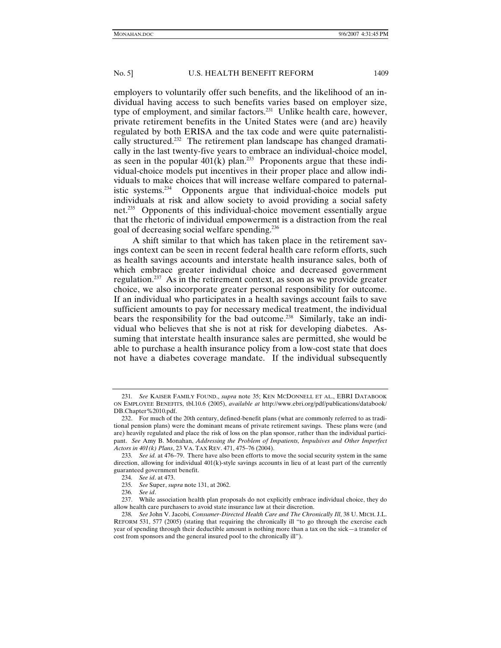employers to voluntarily offer such benefits, and the likelihood of an individual having access to such benefits varies based on employer size, type of employment, and similar factors.<sup>231</sup> Unlike health care, however, private retirement benefits in the United States were (and are) heavily regulated by both ERISA and the tax code and were quite paternalistically structured.<sup>232</sup> The retirement plan landscape has changed dramatically in the last twenty-five years to embrace an individual-choice model, as seen in the popular  $401(k)$  plan.<sup>233</sup> Proponents argue that these individual-choice models put incentives in their proper place and allow individuals to make choices that will increase welfare compared to paternalistic systems.234 Opponents argue that individual-choice models put individuals at risk and allow society to avoid providing a social safety net.235 Opponents of this individual-choice movement essentially argue that the rhetoric of individual empowerment is a distraction from the real goal of decreasing social welfare spending.236

A shift similar to that which has taken place in the retirement savings context can be seen in recent federal health care reform efforts, such as health savings accounts and interstate health insurance sales, both of which embrace greater individual choice and decreased government regulation.<sup>237</sup> As in the retirement context, as soon as we provide greater choice, we also incorporate greater personal responsibility for outcome. If an individual who participates in a health savings account fails to save sufficient amounts to pay for necessary medical treatment, the individual bears the responsibility for the bad outcome.<sup>238</sup> Similarly, take an individual who believes that she is not at risk for developing diabetes. Assuming that interstate health insurance sales are permitted, she would be able to purchase a health insurance policy from a low-cost state that does not have a diabetes coverage mandate. If the individual subsequently

236*. See id*.

<sup>231</sup>*. See* KAISER FAMILY FOUND., *supra* note 35; KEN MCDONNELL ET AL., EBRI DATABOOK ON EMPLOYEE BENEFITS, tbl.10.6 (2005), *available at* http://www.ebri.org/pdf/publications/databook/ DB.Chapter%2010.pdf.

 <sup>232.</sup> For much of the 20th century, defined-benefit plans (what are commonly referred to as traditional pension plans) were the dominant means of private retirement savings. These plans were (and are) heavily regulated and place the risk of loss on the plan sponsor, rather than the individual participant. *See* Amy B. Monahan, *Addressing the Problem of Impatients, Impulsives and Other Imperfect Actors in 401(k) Plans*, 23 VA. TAX REV. 471, 475–76 (2004).

<sup>233</sup>*. See id.* at 476–79. There have also been efforts to move the social security system in the same direction, allowing for individual 401(k)-style savings accounts in lieu of at least part of the currently guaranteed government benefit.

<sup>234</sup>*. See id*. at 473.

<sup>235</sup>*. See* Super, *supra* note 131, at 2062.

 <sup>237.</sup> While association health plan proposals do not explicitly embrace individual choice, they do allow health care purchasers to avoid state insurance law at their discretion.

<sup>238</sup>*. See* John V. Jacobi, *Consumer-Directed Health Care and The Chronically Ill*, 38 U. MICH. J.L. REFORM 531, 577 (2005) (stating that requiring the chronically ill "to go through the exercise each year of spending through their deductible amount is nothing more than a tax on the sick—a transfer of cost from sponsors and the general insured pool to the chronically ill").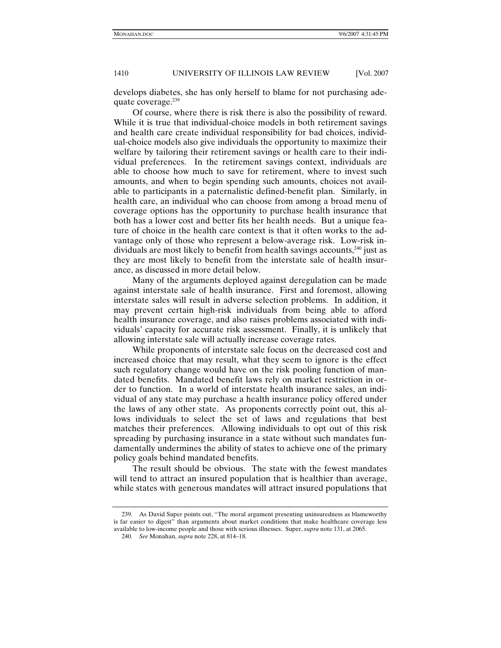develops diabetes, she has only herself to blame for not purchasing adequate coverage. $239$ 

Of course, where there is risk there is also the possibility of reward. While it is true that individual-choice models in both retirement savings and health care create individual responsibility for bad choices, individual-choice models also give individuals the opportunity to maximize their welfare by tailoring their retirement savings or health care to their individual preferences. In the retirement savings context, individuals are able to choose how much to save for retirement, where to invest such amounts, and when to begin spending such amounts, choices not available to participants in a paternalistic defined-benefit plan. Similarly, in health care, an individual who can choose from among a broad menu of coverage options has the opportunity to purchase health insurance that both has a lower cost and better fits her health needs. But a unique feature of choice in the health care context is that it often works to the advantage only of those who represent a below-average risk. Low-risk individuals are most likely to benefit from health savings accounts,<sup>240</sup> just as they are most likely to benefit from the interstate sale of health insurance, as discussed in more detail below.

Many of the arguments deployed against deregulation can be made against interstate sale of health insurance. First and foremost, allowing interstate sales will result in adverse selection problems. In addition, it may prevent certain high-risk individuals from being able to afford health insurance coverage, and also raises problems associated with individuals' capacity for accurate risk assessment. Finally, it is unlikely that allowing interstate sale will actually increase coverage rates.

While proponents of interstate sale focus on the decreased cost and increased choice that may result, what they seem to ignore is the effect such regulatory change would have on the risk pooling function of mandated benefits. Mandated benefit laws rely on market restriction in order to function. In a world of interstate health insurance sales, an individual of any state may purchase a health insurance policy offered under the laws of any other state. As proponents correctly point out, this allows individuals to select the set of laws and regulations that best matches their preferences. Allowing individuals to opt out of this risk spreading by purchasing insurance in a state without such mandates fundamentally undermines the ability of states to achieve one of the primary policy goals behind mandated benefits.

The result should be obvious. The state with the fewest mandates will tend to attract an insured population that is healthier than average, while states with generous mandates will attract insured populations that

 <sup>239.</sup> As David Super points out, "The moral argument presenting uninsuredness as blameworthy is far easier to digest" than arguments about market conditions that make healthcare coverage less available to low-income people and those with serious illnesses. Super, *supra* note 131, at 2065.

<sup>240</sup>*. See* Monahan, *supra* note 228, at 814–18.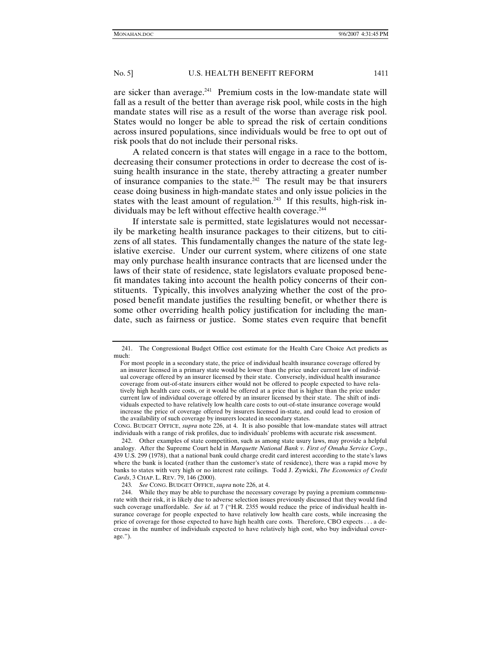are sicker than average.241 Premium costs in the low-mandate state will fall as a result of the better than average risk pool, while costs in the high mandate states will rise as a result of the worse than average risk pool. States would no longer be able to spread the risk of certain conditions across insured populations, since individuals would be free to opt out of risk pools that do not include their personal risks.

A related concern is that states will engage in a race to the bottom, decreasing their consumer protections in order to decrease the cost of issuing health insurance in the state, thereby attracting a greater number of insurance companies to the state.<sup>242</sup> The result may be that insurers cease doing business in high-mandate states and only issue policies in the states with the least amount of regulation.<sup>243</sup> If this results, high-risk individuals may be left without effective health coverage.<sup>244</sup>

If interstate sale is permitted, state legislatures would not necessarily be marketing health insurance packages to their citizens, but to citizens of all states. This fundamentally changes the nature of the state legislative exercise. Under our current system, where citizens of one state may only purchase health insurance contracts that are licensed under the laws of their state of residence, state legislators evaluate proposed benefit mandates taking into account the health policy concerns of their constituents. Typically, this involves analyzing whether the cost of the proposed benefit mandate justifies the resulting benefit, or whether there is some other overriding health policy justification for including the mandate, such as fairness or justice. Some states even require that benefit

 <sup>241.</sup> The Congressional Budget Office cost estimate for the Health Care Choice Act predicts as much:

For most people in a secondary state, the price of individual health insurance coverage offered by an insurer licensed in a primary state would be lower than the price under current law of individual coverage offered by an insurer licensed by their state. Conversely, individual health insurance coverage from out-of-state insurers either would not be offered to people expected to have relatively high health care costs, or it would be offered at a price that is higher than the price under current law of individual coverage offered by an insurer licensed by their state. The shift of individuals expected to have relatively low health care costs to out-of-state insurance coverage would increase the price of coverage offered by insurers licensed in-state, and could lead to erosion of the availability of such coverage by insurers located in secondary states.

CONG. BUDGET OFFICE, *supra* note 226, at 4. It is also possible that low-mandate states will attract individuals with a range of risk profiles, due to individuals' problems with accurate risk assessment.

 <sup>242.</sup> Other examples of state competition, such as among state usury laws, may provide a helpful analogy. After the Supreme Court held in *Marquette National Bank v. First of Omaha Service Corp.*, 439 U.S. 299 (1978), that a national bank could charge credit card interest according to the state's laws where the bank is located (rather than the customer's state of residence), there was a rapid move by banks to states with very high or no interest rate ceilings. Todd J. Zywicki, *The Economics of Credit Cards*, 3 CHAP. L. REV. 79, 146 (2000).

<sup>243</sup>*. See* CONG. BUDGET OFFICE, *supra* note 226, at 4.

 <sup>244.</sup> While they may be able to purchase the necessary coverage by paying a premium commensurate with their risk, it is likely due to adverse selection issues previously discussed that they would find such coverage unaffordable. *See id.* at 7 ("H.R. 2355 would reduce the price of individual health insurance coverage for people expected to have relatively low health care costs, while increasing the price of coverage for those expected to have high health care costs. Therefore, CBO expects . . . a decrease in the number of individuals expected to have relatively high cost, who buy individual coverage.").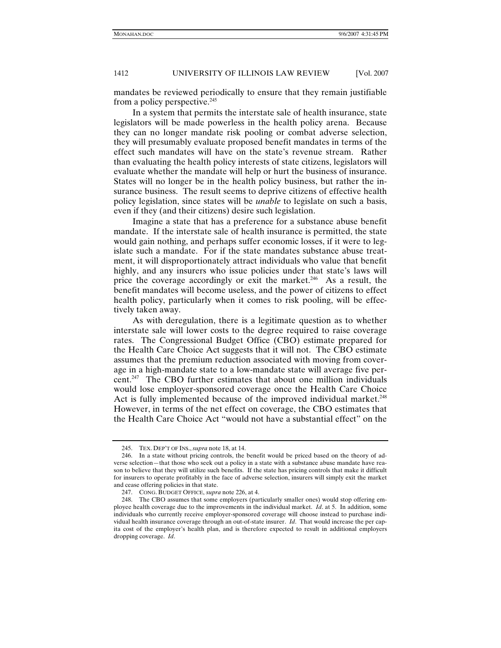mandates be reviewed periodically to ensure that they remain justifiable from a policy perspective.<sup>245</sup>

In a system that permits the interstate sale of health insurance, state legislators will be made powerless in the health policy arena. Because they can no longer mandate risk pooling or combat adverse selection, they will presumably evaluate proposed benefit mandates in terms of the effect such mandates will have on the state's revenue stream. Rather than evaluating the health policy interests of state citizens, legislators will evaluate whether the mandate will help or hurt the business of insurance. States will no longer be in the health policy business, but rather the insurance business. The result seems to deprive citizens of effective health policy legislation, since states will be *unable* to legislate on such a basis, even if they (and their citizens) desire such legislation.

Imagine a state that has a preference for a substance abuse benefit mandate. If the interstate sale of health insurance is permitted, the state would gain nothing, and perhaps suffer economic losses, if it were to legislate such a mandate. For if the state mandates substance abuse treatment, it will disproportionately attract individuals who value that benefit highly, and any insurers who issue policies under that state's laws will price the coverage accordingly or exit the market.<sup>246</sup> As a result, the benefit mandates will become useless, and the power of citizens to effect health policy, particularly when it comes to risk pooling, will be effectively taken away.

As with deregulation, there is a legitimate question as to whether interstate sale will lower costs to the degree required to raise coverage rates. The Congressional Budget Office (CBO) estimate prepared for the Health Care Choice Act suggests that it will not. The CBO estimate assumes that the premium reduction associated with moving from coverage in a high-mandate state to a low-mandate state will average five percent.247 The CBO further estimates that about one million individuals would lose employer-sponsored coverage once the Health Care Choice Act is fully implemented because of the improved individual market.<sup>248</sup> However, in terms of the net effect on coverage, the CBO estimates that the Health Care Choice Act "would not have a substantial effect" on the

 <sup>245.</sup> TEX. DEP'T OF INS., *supra* note 18, at 14.

 <sup>246.</sup> In a state without pricing controls, the benefit would be priced based on the theory of adverse selection—that those who seek out a policy in a state with a substance abuse mandate have reason to believe that they will utilize such benefits. If the state has pricing controls that make it difficult for insurers to operate profitably in the face of adverse selection, insurers will simply exit the market and cease offering policies in that state.

 <sup>247.</sup> CONG. BUDGET OFFICE, *supra* note 226, at 4.

 <sup>248.</sup> The CBO assumes that some employers (particularly smaller ones) would stop offering employee health coverage due to the improvements in the individual market. *Id*. at 5. In addition, some individuals who currently receive employer-sponsored coverage will choose instead to purchase individual health insurance coverage through an out-of-state insurer. *Id*. That would increase the per capita cost of the employer's health plan, and is therefore expected to result in additional employers dropping coverage. *Id*.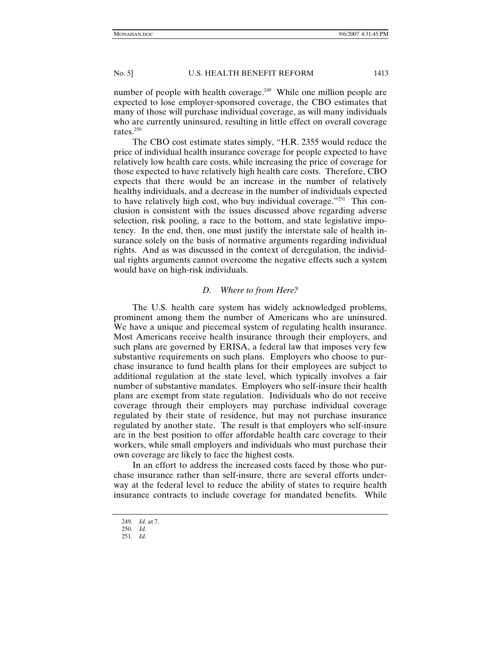number of people with health coverage.<sup>249</sup> While one million people are expected to lose employer-sponsored coverage, the CBO estimates that many of those will purchase individual coverage, as will many individuals who are currently uninsured, resulting in little effect on overall coverage rates.<sup>250</sup>

The CBO cost estimate states simply, "H.R. 2355 would reduce the price of individual health insurance coverage for people expected to have relatively low health care costs, while increasing the price of coverage for those expected to have relatively high health care costs. Therefore, CBO expects that there would be an increase in the number of relatively healthy individuals, and a decrease in the number of individuals expected to have relatively high cost, who buy individual coverage."251 This conclusion is consistent with the issues discussed above regarding adverse selection, risk pooling, a race to the bottom, and state legislative impotency. In the end, then, one must justify the interstate sale of health insurance solely on the basis of normative arguments regarding individual rights. And as was discussed in the context of deregulation, the individual rights arguments cannot overcome the negative effects such a system would have on high-risk individuals.

# *D. Where to from Here?*

The U.S. health care system has widely acknowledged problems, prominent among them the number of Americans who are uninsured. We have a unique and piecemeal system of regulating health insurance. Most Americans receive health insurance through their employers, and such plans are governed by ERISA, a federal law that imposes very few substantive requirements on such plans. Employers who choose to purchase insurance to fund health plans for their employees are subject to additional regulation at the state level, which typically involves a fair number of substantive mandates. Employers who self-insure their health plans are exempt from state regulation. Individuals who do not receive coverage through their employers may purchase individual coverage regulated by their state of residence, but may not purchase insurance regulated by another state. The result is that employers who self-insure are in the best position to offer affordable health care coverage to their workers, while small employers and individuals who must purchase their own coverage are likely to face the highest costs.

In an effort to address the increased costs faced by those who purchase insurance rather than self-insure, there are several efforts underway at the federal level to reduce the ability of states to require health insurance contracts to include coverage for mandated benefits. While

<sup>249</sup>*. Id*. at 7.

<sup>250</sup>*. Id.*

<sup>251</sup>*. Id.*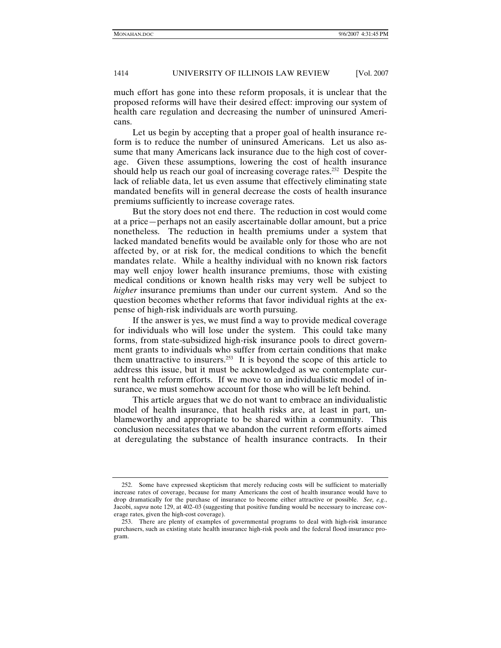much effort has gone into these reform proposals, it is unclear that the proposed reforms will have their desired effect: improving our system of health care regulation and decreasing the number of uninsured Americans.

Let us begin by accepting that a proper goal of health insurance reform is to reduce the number of uninsured Americans. Let us also assume that many Americans lack insurance due to the high cost of coverage. Given these assumptions, lowering the cost of health insurance should help us reach our goal of increasing coverage rates.<sup>252</sup> Despite the lack of reliable data, let us even assume that effectively eliminating state mandated benefits will in general decrease the costs of health insurance premiums sufficiently to increase coverage rates.

But the story does not end there. The reduction in cost would come at a price—perhaps not an easily ascertainable dollar amount, but a price nonetheless. The reduction in health premiums under a system that lacked mandated benefits would be available only for those who are not affected by, or at risk for, the medical conditions to which the benefit mandates relate. While a healthy individual with no known risk factors may well enjoy lower health insurance premiums, those with existing medical conditions or known health risks may very well be subject to *higher* insurance premiums than under our current system. And so the question becomes whether reforms that favor individual rights at the expense of high-risk individuals are worth pursuing.

If the answer is yes, we must find a way to provide medical coverage for individuals who will lose under the system. This could take many forms, from state-subsidized high-risk insurance pools to direct government grants to individuals who suffer from certain conditions that make them unattractive to insurers.253 It is beyond the scope of this article to address this issue, but it must be acknowledged as we contemplate current health reform efforts. If we move to an individualistic model of insurance, we must somehow account for those who will be left behind.

This article argues that we do not want to embrace an individualistic model of health insurance, that health risks are, at least in part, unblameworthy and appropriate to be shared within a community. This conclusion necessitates that we abandon the current reform efforts aimed at deregulating the substance of health insurance contracts. In their

 <sup>252.</sup> Some have expressed skepticism that merely reducing costs will be sufficient to materially increase rates of coverage, because for many Americans the cost of health insurance would have to drop dramatically for the purchase of insurance to become either attractive or possible. *See, e.g.*, Jacobi, *supra* note 129, at 402–03 (suggesting that positive funding would be necessary to increase coverage rates, given the high-cost coverage).

 <sup>253.</sup> There are plenty of examples of governmental programs to deal with high-risk insurance purchasers, such as existing state health insurance high-risk pools and the federal flood insurance program.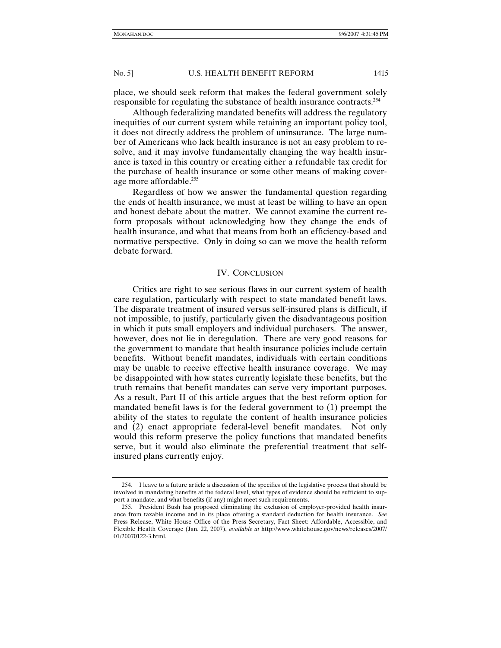place, we should seek reform that makes the federal government solely responsible for regulating the substance of health insurance contracts.<sup>254</sup>

Although federalizing mandated benefits will address the regulatory inequities of our current system while retaining an important policy tool, it does not directly address the problem of uninsurance. The large number of Americans who lack health insurance is not an easy problem to resolve, and it may involve fundamentally changing the way health insurance is taxed in this country or creating either a refundable tax credit for the purchase of health insurance or some other means of making coverage more affordable.<sup>255</sup>

Regardless of how we answer the fundamental question regarding the ends of health insurance, we must at least be willing to have an open and honest debate about the matter. We cannot examine the current reform proposals without acknowledging how they change the ends of health insurance, and what that means from both an efficiency-based and normative perspective. Only in doing so can we move the health reform debate forward.

#### IV. CONCLUSION

Critics are right to see serious flaws in our current system of health care regulation, particularly with respect to state mandated benefit laws. The disparate treatment of insured versus self-insured plans is difficult, if not impossible, to justify, particularly given the disadvantageous position in which it puts small employers and individual purchasers. The answer, however, does not lie in deregulation. There are very good reasons for the government to mandate that health insurance policies include certain benefits. Without benefit mandates, individuals with certain conditions may be unable to receive effective health insurance coverage. We may be disappointed with how states currently legislate these benefits, but the truth remains that benefit mandates can serve very important purposes. As a result, Part II of this article argues that the best reform option for mandated benefit laws is for the federal government to (1) preempt the ability of the states to regulate the content of health insurance policies and (2) enact appropriate federal-level benefit mandates. Not only would this reform preserve the policy functions that mandated benefits serve, but it would also eliminate the preferential treatment that selfinsured plans currently enjoy.

 <sup>254.</sup> I leave to a future article a discussion of the specifics of the legislative process that should be involved in mandating benefits at the federal level, what types of evidence should be sufficient to support a mandate, and what benefits (if any) might meet such requirements.

 <sup>255.</sup> President Bush has proposed eliminating the exclusion of employer-provided health insurance from taxable income and in its place offering a standard deduction for health insurance. *See* Press Release, White House Office of the Press Secretary, Fact Sheet: Affordable, Accessible, and Flexible Health Coverage (Jan. 22, 2007), *available at* http://www.whitehouse.gov/news/releases/2007/ 01/20070122-3.html.